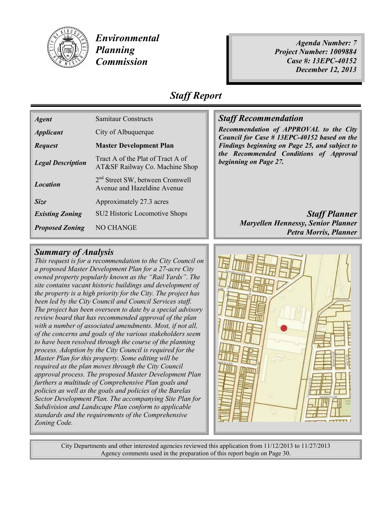

*Environmental Planning Commission* 

*Agenda Number: 7 Project Number: 1009884 Case #: 13EPC-40152 December 12, 2013* 

### *Staff Report*

| <b>Agent</b>             | <b>Samitaur Constructs</b>                                                 |  |
|--------------------------|----------------------------------------------------------------------------|--|
| <b>Applicant</b>         | City of Albuquerque                                                        |  |
| <b>Request</b>           | <b>Master Development Plan</b>                                             |  |
| <b>Legal Description</b> | Tract A of the Plat of Tract A of<br>AT&SF Railway Co. Machine Shop        |  |
| <b>Location</b>          | 2 <sup>nd</sup> Street SW, between Cromwell<br>Avenue and Hazeldine Avenue |  |
| Size                     | Approximately 27.3 acres                                                   |  |
| <b>Existing Zoning</b>   | SU2 Historic Locomotive Shops                                              |  |
| <b>Proposed Zoning</b>   | NO CHANGE                                                                  |  |

### *<u>Staff Recommendation</u>*

*Recommendation of APPROVAL to the City Council for Case # 13EPC-40152 based on the Findings beginning on Page 25, and subject to the Recommended Conditions of Approval beginning on Page 27.*

> *Exaff Planner Maryellen Hennessy, Senior Planner Petra Morris, Planner*

#### *Summary of Analysis*

*This request is for a recommendation to the City Council on a proposed Master Development Plan for a 27-acre City owned property popularly known as the "Rail Yards". The site contains vacant historic buildings and development of the property is a high priority for the City. The project has been led by the City Council and Council Services staff. The project has been overseen to date by a special advisory review board that has recommended approval of the plan with a number of associated amendments. Most, if not all, of the concerns and goals of the various stakeholders seem to have been resolved through the course of the planning process. Adoption by the City Council is required for the Master Plan for this property. Some editing will be required as the plan moves through the City Council approval process. The proposed Master Development Plan furthers a multitude of Comprehensive Plan goals and policies as well as the goals and policies of the Barelas Sector Development Plan. The accompanying Site Plan for Subdivision and Landscape Plan conform to applicable standards and the requirements of the Comprehensive Zoning Code.* 



City Departments and other interested agencies reviewed this application from 11/12/2013 to 11/27/2013 Agency comments used in the preparation of this report begin on Page 30.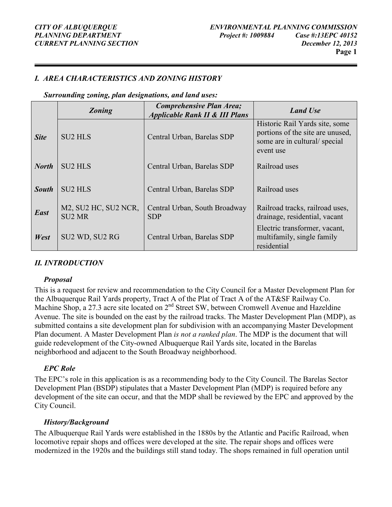#### *I. AREA CHARACTERISTICS AND ZONING HISTORY*

*Surrounding zoning, plan designations, and land uses:* 

|              | <b>Zoning</b>                         | <b>Comprehensive Plan Area;</b><br><b>Applicable Rank II &amp; III Plans</b> | <b>Land Use</b>                                                                                                 |  |
|--------------|---------------------------------------|------------------------------------------------------------------------------|-----------------------------------------------------------------------------------------------------------------|--|
| <b>Site</b>  | <b>SU2 HLS</b>                        | Central Urban, Barelas SDP                                                   | Historic Rail Yards site, some<br>portions of the site are unused,<br>some are in cultural/special<br>event use |  |
| <b>North</b> | <b>SU2 HLS</b>                        | Central Urban, Barelas SDP                                                   | Railroad uses                                                                                                   |  |
| <b>South</b> | <b>SU2 HLS</b>                        | Central Urban, Barelas SDP                                                   | Railroad uses                                                                                                   |  |
| East         | M2, SU2 HC, SU2 NCR,<br><b>SU2 MR</b> | Central Urban, South Broadway<br><b>SDP</b>                                  | Railroad tracks, railroad uses,<br>drainage, residential, vacant                                                |  |
| West         | SU2 WD, SU2 RG                        | Central Urban, Barelas SDP                                                   | Electric transformer, vacant,<br>multifamily, single family<br>residential                                      |  |

#### *II. INTRODUCTION*

#### *Proposal*

This is a request for review and recommendation to the City Council for a Master Development Plan for the Albuquerque Rail Yards property, Tract A of the Plat of Tract A of the AT&SF Railway Co. Machine Shop, a 27.3 acre site located on 2<sup>nd</sup> Street SW, between Cromwell Avenue and Hazeldine Avenue. The site is bounded on the east by the railroad tracks. The Master Development Plan (MDP), as submitted contains a site development plan for subdivision with an accompanying Master Development Plan document. A Master Development Plan *is not a ranked plan*. The MDP is the document that will guide redevelopment of the City-owned Albuquerque Rail Yards site, located in the Barelas neighborhood and adjacent to the South Broadway neighborhood.

#### *EPC Role*

The EPC's role in this application is as a recommending body to the City Council. The Barelas Sector Development Plan (BSDP) stipulates that a Master Development Plan (MDP) is required before any development of the site can occur, and that the MDP shall be reviewed by the EPC and approved by the City Council.

#### *History/Background*

The Albuquerque Rail Yards were established in the 1880s by the Atlantic and Pacific Railroad, when locomotive repair shops and offices were developed at the site. The repair shops and offices were modernized in the 1920s and the buildings still stand today. The shops remained in full operation until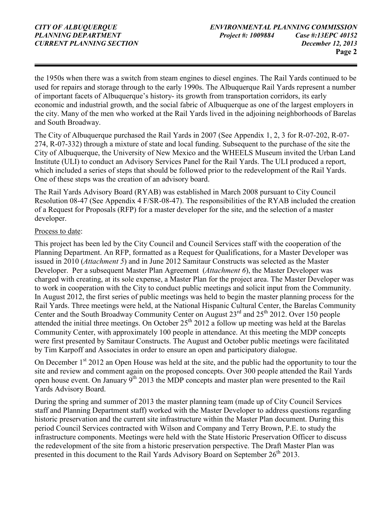the 1950s when there was a switch from steam engines to diesel engines. The Rail Yards continued to be used for repairs and storage through to the early 1990s. The Albuquerque Rail Yards represent a number of important facets of Albuquerque's history- its growth from transportation corridors, its early economic and industrial growth, and the social fabric of Albuquerque as one of the largest employers in the city. Many of the men who worked at the Rail Yards lived in the adjoining neighborhoods of Barelas and South Broadway.

The City of Albuquerque purchased the Rail Yards in 2007 (See Appendix 1, 2, 3 for R-07-202, R-07- 274, R-07-332) through a mixture of state and local funding. Subsequent to the purchase of the site the City of Albuquerque, the University of New Mexico and the WHEELS Museum invited the Urban Land Institute (ULI) to conduct an Advisory Services Panel for the Rail Yards. The ULI produced a report, which included a series of steps that should be followed prior to the redevelopment of the Rail Yards. One of these steps was the creation of an advisory board.

The Rail Yards Advisory Board (RYAB) was established in March 2008 pursuant to City Council Resolution 08-47 (See Appendix 4 F/SR-08-47). The responsibilities of the RYAB included the creation of a Request for Proposals (RFP) for a master developer for the site, and the selection of a master developer.

#### Process to date:

This project has been led by the City Council and Council Services staff with the cooperation of the Planning Department. An RFP, formatted as a Request for Qualifications, for a Master Developer was issued in 2010 (*Attachment 5*) and in June 2012 Samitaur Constructs was selected as the Master Developer. Per a subsequent Master Plan Agreement (*Attachment 6*), the Master Developer was charged with creating, at its sole expense, a Master Plan for the project area. The Master Developer was to work in cooperation with the City to conduct public meetings and solicit input from the Community. In August 2012, the first series of public meetings was held to begin the master planning process for the Rail Yards. Three meetings were held, at the National Hispanic Cultural Center, the Barelas Community Center and the South Broadway Community Center on August  $23<sup>rd</sup>$  and  $25<sup>th</sup>$  2012. Over 150 people attended the initial three meetings. On October  $25<sup>th</sup>$  2012 a follow up meeting was held at the Barelas Community Center, with approximately 100 people in attendance. At this meeting the MDP concepts were first presented by Samitaur Constructs. The August and October public meetings were facilitated by Tim Karpoff and Associates in order to ensure an open and participatory dialogue.

On December  $1<sup>st</sup>$  2012 an Open House was held at the site, and the public had the opportunity to tour the site and review and comment again on the proposed concepts. Over 300 people attended the Rail Yards open house event. On January  $9^{th}$  2013 the MDP concepts and master plan were presented to the Rail Yards Advisory Board.

During the spring and summer of 2013 the master planning team (made up of City Council Services staff and Planning Department staff) worked with the Master Developer to address questions regarding historic preservation and the current site infrastructure within the Master Plan document. During this period Council Services contracted with Wilson and Company and Terry Brown, P.E. to study the infrastructure components. Meetings were held with the State Historic Preservation Officer to discuss the redevelopment of the site from a historic preservation perspective. The Draft Master Plan was presented in this document to the Rail Yards Advisory Board on September 26<sup>th</sup> 2013.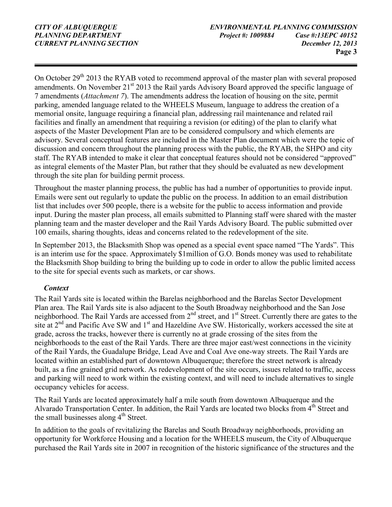On October 29<sup>th</sup> 2013 the RYAB voted to recommend approval of the master plan with several proposed amendments. On November  $21<sup>st</sup> 2013$  the Rail yards Advisory Board approved the specific language of 7 amendments (*Attachment 7*). The amendments address the location of housing on the site, permit parking, amended language related to the WHEELS Museum, language to address the creation of a memorial onsite, language requiring a financial plan, addressing rail maintenance and related rail facilities and finally an amendment that requiring a revision (or editing) of the plan to clarify what aspects of the Master Development Plan are to be considered compulsory and which elements are advisory. Several conceptual features are included in the Master Plan document which were the topic of discussion and concern throughout the planning process with the public, the RYAB, the SHPO and city staff. The RYAB intended to make it clear that conceptual features should not be considered "approved" as integral elements of the Master Plan, but rather that they should be evaluated as new development through the site plan for building permit process.

Throughout the master planning process, the public has had a number of opportunities to provide input. Emails were sent out regularly to update the public on the process. In addition to an email distribution list that includes over 500 people, there is a website for the public to access information and provide input. During the master plan process, all emails submitted to Planning staff were shared with the master planning team and the master developer and the Rail Yards Advisory Board. The public submitted over 100 emails, sharing thoughts, ideas and concerns related to the redevelopment of the site.

In September 2013, the Blacksmith Shop was opened as a special event space named "The Yards". This is an interim use for the space. Approximately \$1million of G.O. Bonds money was used to rehabilitate the Blacksmith Shop building to bring the building up to code in order to allow the public limited access to the site for special events such as markets, or car shows.

#### *Context*

The Rail Yards site is located within the Barelas neighborhood and the Barelas Sector Development Plan area. The Rail Yards site is also adjacent to the South Broadway neighborhood and the San Jose neighborhood. The Rail Yards are accessed from 2<sup>nd</sup> street, and 1<sup>st</sup> Street. Currently there are gates to the site at 2<sup>nd</sup> and Pacific Ave SW and 1<sup>st</sup> and Hazeldine Ave SW. Historically, workers accessed the site at grade, across the tracks, however there is currently no at grade crossing of the sites from the neighborhoods to the east of the Rail Yards. There are three major east/west connections in the vicinity of the Rail Yards, the Guadalupe Bridge, Lead Ave and Coal Ave one-way streets. The Rail Yards are located within an established part of downtown Albuquerque; therefore the street network is already built, as a fine grained grid network. As redevelopment of the site occurs, issues related to traffic, access and parking will need to work within the existing context, and will need to include alternatives to single occupancy vehicles for access.

The Rail Yards are located approximately half a mile south from downtown Albuquerque and the Alvarado Transportation Center. In addition, the Rail Yards are located two blocks from 4<sup>th</sup> Street and the small businesses along  $4<sup>th</sup>$  Street.

In addition to the goals of revitalizing the Barelas and South Broadway neighborhoods, providing an opportunity for Workforce Housing and a location for the WHEELS museum, the City of Albuquerque purchased the Rail Yards site in 2007 in recognition of the historic significance of the structures and the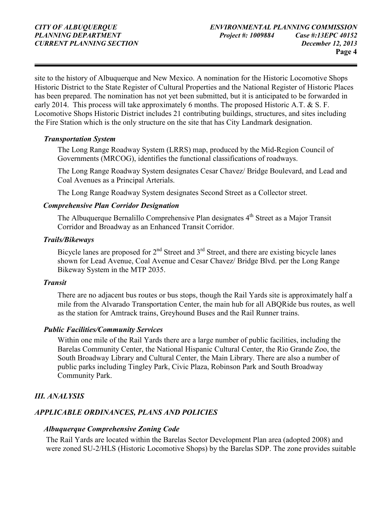site to the history of Albuquerque and New Mexico. A nomination for the Historic Locomotive Shops Historic District to the State Register of Cultural Properties and the National Register of Historic Places has been prepared. The nomination has not yet been submitted, but it is anticipated to be forwarded in early 2014. This process will take approximately 6 months. The proposed Historic A.T.  $\& S. F.$ Locomotive Shops Historic District includes 21 contributing buildings, structures, and sites including the Fire Station which is the only structure on the site that has City Landmark designation.

#### *Transportation System*

The Long Range Roadway System (LRRS) map, produced by the Mid-Region Council of Governments (MRCOG), identifies the functional classifications of roadways.

The Long Range Roadway System designates Cesar Chavez/ Bridge Boulevard, and Lead and Coal Avenues as a Principal Arterials.

The Long Range Roadway System designates Second Street as a Collector street.

#### *Comprehensive Plan Corridor Designation*

The Albuquerque Bernalillo Comprehensive Plan designates 4<sup>th</sup> Street as a Major Transit Corridor and Broadway as an Enhanced Transit Corridor.

#### *Trails/Bikeways*

Bicycle lanes are proposed for  $2<sup>nd</sup>$  Street and  $3<sup>rd</sup>$  Street, and there are existing bicycle lanes shown for Lead Avenue, Coal Avenue and Cesar Chavez/ Bridge Blvd. per the Long Range Bikeway System in the MTP 2035.

#### *Transit*

There are no adjacent bus routes or bus stops, though the Rail Yards site is approximately half a mile from the Alvarado Transportation Center, the main hub for all ABQRide bus routes, as well as the station for Amtrack trains, Greyhound Buses and the Rail Runner trains.

#### *Public Facilities/Community Services*

Within one mile of the Rail Yards there are a large number of public facilities, including the Barelas Community Center, the National Hispanic Cultural Center, the Rio Grande Zoo, the South Broadway Library and Cultural Center, the Main Library. There are also a number of public parks including Tingley Park, Civic Plaza, Robinson Park and South Broadway Community Park.

#### *III. ANALYSIS*

#### *APPLICABLE ORDINANCES, PLANS AND POLICIES*

#### *Albuquerque Comprehensive Zoning Code*

The Rail Yards are located within the Barelas Sector Development Plan area (adopted 2008) and were zoned SU-2/HLS (Historic Locomotive Shops) by the Barelas SDP. The zone provides suitable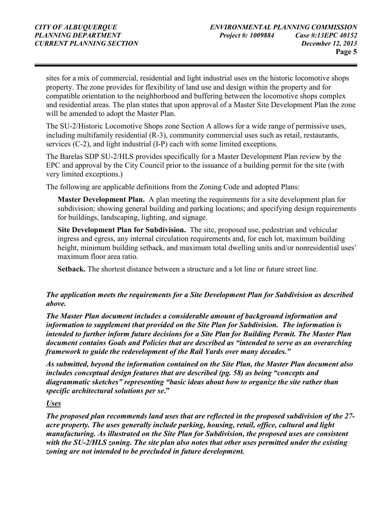sites for a mix of commercial, residential and light industrial uses on the historic locomotive shops property. The zone provides for flexibility of land use and design within the property and for compatible orientation to the neighborhood and buffering between the locomotive shops complex and residential areas. The plan states that upon approval of a Master Site Development Plan the zone will be amended to adopt the Master Plan.

The SU-2/Historic Locomotive Shops zone Section A allows for a wide range of permissive uses, including multifamily residential (R-3), community commercial uses such as retail, restaurants, services (C-2), and light industrial (I-P) each with some limited exceptions*.* 

The Barelas SDP SU-2/HLS provides specifically for a Master Development Plan review by the EPC and approval by the City Council prior to the issuance of a building permit for the site (with very limited exceptions.)

The following are applicable definitions from the Zoning Code and adopted Plans:

**Master Development Plan.** A plan meeting the requirements for a site development plan for subdivision; showing general building and parking locations; and specifying design requirements for buildings, landscaping, lighting, and signage.

**Site Development Plan for Subdivision.** The site, proposed use, pedestrian and vehicular ingress and egress, any internal circulation requirements and, for each lot, maximum building height, minimum building setback, and maximum total dwelling units and/or nonresidential uses' maximum floor area ratio.

**Setback.** The shortest distance between a structure and a lot line or future street line.

#### *The application meets the requirements for a Site Development Plan for Subdivision as described above.*

*The Master Plan document includes a considerable amount of background information and information to supplement that provided on the Site Plan for Subdivision. The information is intended to further inform future decisions for a Site Plan for Building Permit. The Master Plan document contains Goals and Policies that are described as "intended to serve as an overarching framework to guide the redevelopment of the Rail Yards over many decades."* 

*As submitted, beyond the information contained on the Site Plan, the Master Plan document also includes conceptual design features that are described (pg. 58) as being "concepts and diagrammatic sketches" representing "basic ideas about how to organize the site rather than specific architectural solutions per se***."** 

#### *Uses*

*The proposed plan recommends land uses that are reflected in the proposed subdivision of the 27 acre property. The uses generally include parking, housing, retail, office, cultural and light manufacturing. As illustrated on the Site Plan for Subdivision, the proposed uses are consistent with the SU-2/HLS zoning. The site plan also notes that other uses permitted under the existing zoning are not intended to be precluded in future development.*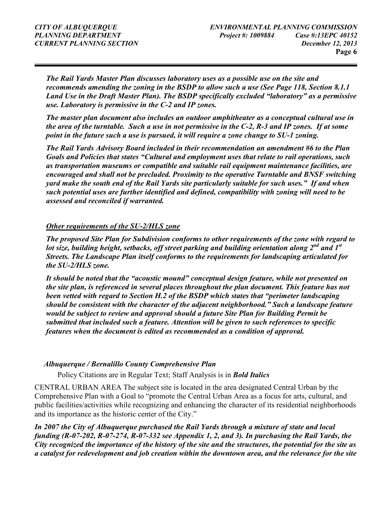*The Rail Yards Master Plan discusses laboratory uses as a possible use on the site and recommends amending the zoning in the BSDP to allow such a use (See Page 118, Section 8.1.1 Land Use in the Draft Master Plan). The BSDP specifically excluded "laboratory" as a permissive use. Laboratory is permissive in the C-2 and IP zones.* 

*The master plan document also includes an outdoor amphitheater as a conceptual cultural use in the area of the turntable. Such a use in not permissive in the C-2, R-3 and IP zones. If at some point in the future such a use is pursued, it will require a zone change to SU-1 zoning.* 

*The Rail Yards Advisory Board included in their recommendation an amendment #6 to the Plan Goals and Policies that states "Cultural and employment uses that relate to rail operations, such as transportation museums or compatible and suitable rail equipment maintenance facilities, are encouraged and shall not be precluded. Proximity to the operative Turntable and BNSF switching yard make the south end of the Rail Yards site particularly suitable for such uses." If and when such potential uses are further identified and defined, compatibility with zoning will need to be assessed and reconciled if warranted.* 

#### *Other requirements of the SU-2/HLS zone*

*The proposed Site Plan for Subdivision conforms to other requirements of the zone with regard to lot size, building height, setbacks, off street parking and building orientation along 2nd and 1st Streets. The Landscape Plan itself conforms to the requirements for landscaping articulated for the SU-2/HLS zone.* 

*It should be noted that the "acoustic mound" conceptual design feature, while not presented on the site plan, is referenced in several places throughout the plan document. This feature has not been vetted with regard to Section H.2 of the BSDP which states that "perimeter landscaping should be consistent with the character of the adjacent neighborhood." Such a landscape feature would be subject to review and approval should a future Site Plan for Building Permit be submitted that included such a feature. Attention will be given to such references to specific features when the document is edited as recommended as a condition of approval.* 

#### *Albuquerque / Bernalillo County Comprehensive Plan*

Policy Citations are in Regular Text; Staff Analysis is in *Bold Italics*

CENTRAL URBAN AREA The subject site is located in the area designated Central Urban by the Comprehensive Plan with a Goal to "promote the Central Urban Area as a focus for arts, cultural, and public facilities/activities while recognizing and enhancing the character of its residential neighborhoods and its importance as the historic center of the City."

*In 2007 the City of Albuquerque purchased the Rail Yards through a mixture of state and local funding (R-07-202, R-07-274, R-07-332 see Appendix 1, 2, and 3). In purchasing the Rail Yards, the City recognized the importance of the history of the site and the structures, the potential for the site as a catalyst for redevelopment and job creation within the downtown area, and the relevance for the site*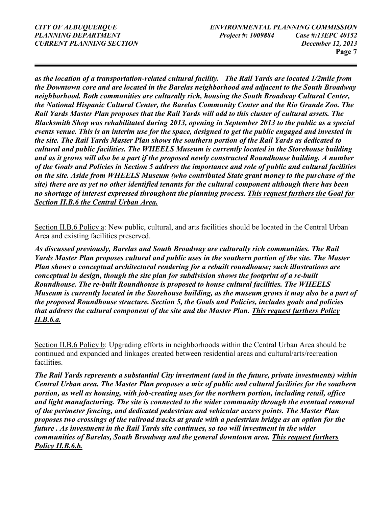*as the location of a transportation-related cultural facility. The Rail Yards are located 1/2mile from the Downtown core and are located in the Barelas neighborhood and adjacent to the South Broadway neighborhood. Both communities are culturally rich, housing the South Broadway Cultural Center, the National Hispanic Cultural Center, the Barelas Community Center and the Rio Grande Zoo. The Rail Yards Master Plan proposes that the Rail Yards will add to this cluster of cultural assets. The Blacksmith Shop was rehabilitated during 2013, opening in September 2013 to the public as a special events venue. This is an interim use for the space, designed to get the public engaged and invested in the site. The Rail Yards Master Plan shows the southern portion of the Rail Yards as dedicated to cultural and public facilities. The WHEELS Museum is currently located in the Storehouse building and as it grows will also be a part if the proposed newly constructed Roundhouse building. A number of the Goals and Policies in Section 5 address the importance and role of public and cultural facilities on the site. Aside from WHEELS Museum (who contributed State grant money to the purchase of the site) there are as yet no other identified tenants for the cultural component although there has been no shortage of interest expressed throughout the planning process. This request furthers the Goal for Section II.B.6 the Central Urban Area.* 

Section II.B.6 Policy a: New public, cultural, and arts facilities should be located in the Central Urban Area and existing facilities preserved.

*As discussed previously, Barelas and South Broadway are culturally rich communities. The Rail Yards Master Plan proposes cultural and public uses in the southern portion of the site. The Master Plan shows a conceptual architectural rendering for a rebuilt roundhouse; such illustrations are conceptual in design, though the site plan for subdivision shows the footprint of a re-built Roundhouse. The re-built Roundhouse is proposed to house cultural facilities. The WHEELS Museum is currently located in the Storehouse building, as the museum grows it may also be a part of the proposed Roundhouse structure. Section 5, the Goals and Policies, includes goals and policies that address the cultural component of the site and the Master Plan. This request furthers Policy II.B.6.a.* 

Section II.B.6 Policy b: Upgrading efforts in neighborhoods within the Central Urban Area should be continued and expanded and linkages created between residential areas and cultural/arts/recreation facilities.

*The Rail Yards represents a substantial City investment (and in the future, private investments) within Central Urban area. The Master Plan proposes a mix of public and cultural facilities for the southern portion, as well as housing, with job-creating uses for the northern portion, including retail, office and light manufacturing. The site is connected to the wider community through the eventual removal of the perimeter fencing, and dedicated pedestrian and vehicular access points. The Master Plan proposes two crossings of the railroad tracks at grade with a pedestrian bridge as an option for the future . As investment in the Rail Yards site continues, so too will investment in the wider communities of Barelas, South Broadway and the general downtown area. This request furthers Policy II.B.6.b.*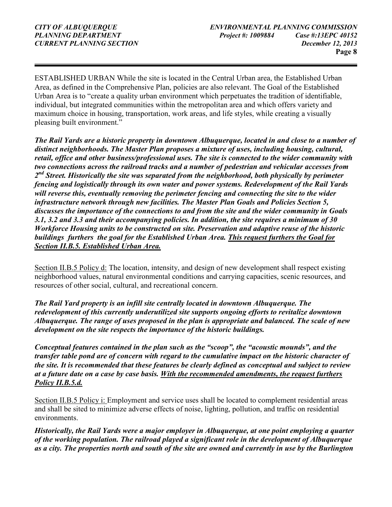ESTABLISHED URBAN While the site is located in the Central Urban area, the Established Urban Area, as defined in the Comprehensive Plan, policies are also relevant. The Goal of the Established Urban Area is to "create a quality urban environment which perpetuates the tradition of identifiable, individual, but integrated communities within the metropolitan area and which offers variety and maximum choice in housing, transportation, work areas, and life styles, while creating a visually pleasing built environment."

*The Rail Yards are a historic property in downtown Albuquerque, located in and close to a number of distinct neighborhoods. The Master Plan proposes a mixture of uses, including housing, cultural, retail, office and other business/professional uses. The site is connected to the wider community with two connections across the railroad tracks and a number of pedestrian and vehicular accesses from 2 nd Street. Historically the site was separated from the neighborhood, both physically by perimeter fencing and logistically through its own water and power systems. Redevelopment of the Rail Yards will reverse this, eventually removing the perimeter fencing and connecting the site to the wider infrastructure network through new facilities. The Master Plan Goals and Policies Section 5, discusses the importance of the connections to and from the site and the wider community in Goals 3.1, 3.2 and 3.3 and their accompanying policies. In addition, the site requires a minimum of 30 Workforce Housing units to be constructed on site. Preservation and adaptive reuse of the historic buildings furthers the goal for the Established Urban Area. This request furthers the Goal for Section II.B.5. Established Urban Area.*

Section II.B.5 Policy d: The location, intensity, and design of new development shall respect existing neighborhood values, natural environmental conditions and carrying capacities, scenic resources, and resources of other social, cultural, and recreational concern.

*The Rail Yard property is an infill site centrally located in downtown Albuquerque. The redevelopment of this currently underutilized site supports ongoing efforts to revitalize downtown Albuquerque. The range of uses proposed in the plan is appropriate and balanced. The scale of new development on the site respects the importance of the historic buildings.* 

*Conceptual features contained in the plan such as the "scoop", the "acoustic mounds", and the transfer table pond are of concern with regard to the cumulative impact on the historic character of the site. It is recommended that these features be clearly defined as conceptual and subject to review at a future date on a case by case basis. With the recommended amendments, the request furthers Policy II.B.5.d.* 

Section II.B.5 Policy i: Employment and service uses shall be located to complement residential areas and shall be sited to minimize adverse effects of noise, lighting, pollution, and traffic on residential environments.

*Historically, the Rail Yards were a major employer in Albuquerque, at one point employing a quarter of the working population. The railroad played a significant role in the development of Albuquerque as a city. The properties north and south of the site are owned and currently in use by the Burlington*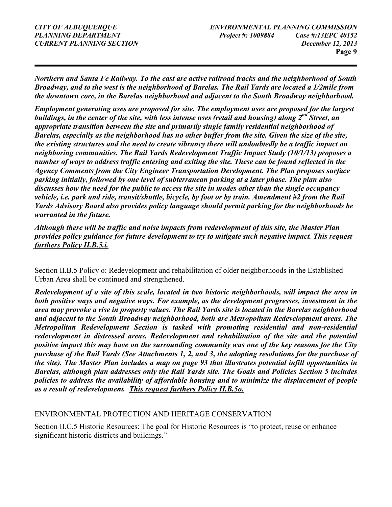*Northern and Santa Fe Railway. To the east are active railroad tracks and the neighborhood of South Broadway, and to the west is the neighborhood of Barelas. The Rail Yards are located a 1/2mile from the downtown core, in the Barelas neighborhood and adjacent to the South Broadway neighborhood.* 

*Employment generating uses are proposed for site. The employment uses are proposed for the largest buildings, in the center of the site, with less intense uses (retail and housing) along 2nd Street, an appropriate transition between the site and primarily single family residential neighborhood of Barelas, especially as the neighborhood has no other buffer from the site. Given the size of the site, the existing structures and the need to create vibrancy there will undoubtedly be a traffic impact on neighboring communities. The Rail Yards Redevelopment Traffic Impact Study (10/1/13) proposes a number of ways to address traffic entering and exiting the site. These can be found reflected in the Agency Comments from the City Engineer Transportation Development. The Plan proposes surface parking initially, followed by one level of subterranean parking at a later phase. The plan also discusses how the need for the public to access the site in modes other than the single occupancy vehicle, i.e. park and ride, transit/shuttle, bicycle, by foot or by train. Amendment #2 from the Rail Yards Advisory Board also provides policy language should permit parking for the neighborhoods be warranted in the future.* 

*Although there will be traffic and noise impacts from redevelopment of this site, the Master Plan provides policy guidance for future development to try to mitigate such negative impact. This request furthers Policy II.B.5.i.* 

Section II.B.5 Policy o: Redevelopment and rehabilitation of older neighborhoods in the Established Urban Area shall be continued and strengthened.

*Redevelopment of a site of this scale, located in two historic neighborhoods, will impact the area in both positive ways and negative ways. For example, as the development progresses, investment in the area may provoke a rise in property values. The Rail Yards site is located in the Barelas neighborhood and adjacent to the South Broadway neighborhood, both are Metropolitan Redevelopment areas. The Metropolitan Redevelopment Section is tasked with promoting residential and non-residential redevelopment in distressed areas. Redevelopment and rehabilitation of the site and the potential positive impact this may have on the surrounding community was one of the key reasons for the City purchase of the Rail Yards (See Attachments 1, 2, and 3, the adopting resolutions for the purchase of the site). The Master Plan includes a map on page 93 that illustrates potential infill opportunities in Barelas, although plan addresses only the Rail Yards site. The Goals and Policies Section 5 includes policies to address the availability of affordable housing and to minimize the displacement of people as a result of redevelopment. This request furthers Policy II.B.5o.* 

#### ENVIRONMENTAL PROTECTION AND HERITAGE CONSERVATION

Section II.C.5 Historic Resources: The goal for Historic Resources is "to protect, reuse or enhance significant historic districts and buildings."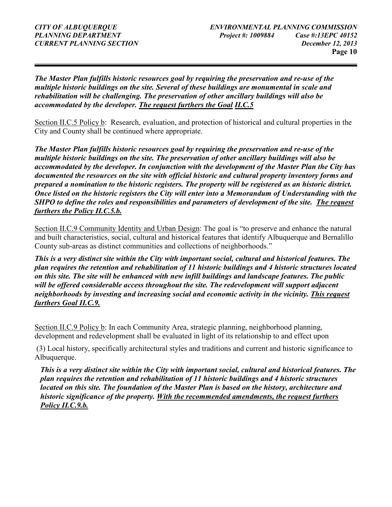*The Master Plan fulfills historic resources goal by requiring the preservation and re-use of the multiple historic buildings on the site. Several of these buildings are monumental in scale and rehabilitation will be challenging. The preservation of other ancillary buildings will also be accommodated by the developer. The request furthers the Goal II.C.5* 

Section II.C.5 Policy b: Research, evaluation, and protection of historical and cultural properties in the City and County shall be continued where appropriate.

*The Master Plan fulfills historic resources goal by requiring the preservation and re-use of the multiple historic buildings on the site. The preservation of other ancillary buildings will also be accommodated by the developer. In conjunction with the development of the Master Plan the City has documented the resources on the site with official historic and cultural property inventory forms and prepared a nomination to the historic registers. The property will be registered as an historic district. Once listed on the historic registers the City will enter into a Memorandum of Understanding with the SHPO to define the roles and responsibilities and parameters of development of the site. The request furthers the Policy II.C.5.b.*

Section II.C.9 Community Identity and Urban Design: The goal is "to preserve and enhance the natural and built characteristics, social, cultural and historical features that identify Albuquerque and Bernalillo County sub-areas as distinct communities and collections of neighborhoods."

*This is a very distinct site within the City with important social, cultural and historical features. The plan requires the retention and rehabilitation of 11 historic buildings and 4 historic structures located on this site. The site will be enhanced with new infill buildings and landscape features. The public*  will be offered considerable access throughout the site. The redevelopment will support adjacent *neighborhoods by investing and increasing social and economic activity in the vicinity. This request furthers Goal II.C.9.* 

Section II.C.9 Policy b: In each Community Area, strategic planning, neighborhood planning, development and redevelopment shall be evaluated in light of its relationship to and effect upon

 (3) Local history, specifically architectural styles and traditions and current and historic significance to Albuquerque.

*This is a very distinct site within the City with important social, cultural and historical features. The plan requires the retention and rehabilitation of 11 historic buildings and 4 historic structures located on this site. The foundation of the Master Plan is based on the history, architecture and historic significance of the property. With the recommended amendments, the request furthers Policy II.C.9.b.*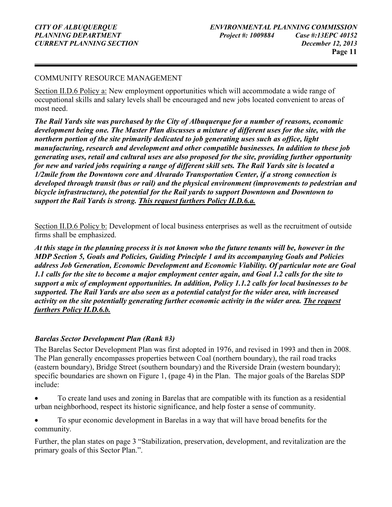#### COMMUNITY RESOURCE MANAGEMENT

Section II.D.6 Policy a: New employment opportunities which will accommodate a wide range of occupational skills and salary levels shall be encouraged and new jobs located convenient to areas of most need.

*The Rail Yards site was purchased by the City of Albuquerque for a number of reasons, economic development being one. The Master Plan discusses a mixture of different uses for the site, with the northern portion of the site primarily dedicated to job generating uses such as office, light manufacturing, research and development and other compatible businesses. In addition to these job generating uses, retail and cultural uses are also proposed for the site, providing further opportunity for new and varied jobs requiring a range of different skill sets. The Rail Yards site is located a 1/2mile from the Downtown core and Alvarado Transportation Center, if a strong connection is developed through transit (bus or rail) and the physical environment (improvements to pedestrian and bicycle infrastructure), the potential for the Rail yards to support Downtown and Downtown to support the Rail Yards is strong. This request furthers Policy II.D.6.a.* 

Section II.D.6 Policy b: Development of local business enterprises as well as the recruitment of outside firms shall be emphasized.

*At this stage in the planning process it is not known who the future tenants will be, however in the MDP Section 5, Goals and Policies, Guiding Principle 1 and its accompanying Goals and Policies address Job Generation, Economic Development and Economic Viability. Of particular note are Goal 1.1 calls for the site to become a major employment center again, and Goal 1.2 calls for the site to support a mix of employment opportunities. In addition, Policy 1.1.2 calls for local businesses to be supported. The Rail Yards are also seen as a potential catalyst for the wider area, with increased activity on the site potentially generating further economic activity in the wider area. The request furthers Policy II.D.6.b.* 

#### *Barelas Sector Development Plan (Rank #3)*

The Barelas Sector Development Plan was first adopted in 1976, and revised in 1993 and then in 2008. The Plan generally encompasses properties between Coal (northern boundary), the rail road tracks (eastern boundary), Bridge Street (southern boundary) and the Riverside Drain (western boundary); specific boundaries are shown on Figure 1, (page 4) in the Plan. The major goals of the Barelas SDP include:

• To create land uses and zoning in Barelas that are compatible with its function as a residential urban neighborhood, respect its historic significance, and help foster a sense of community.

• To spur economic development in Barelas in a way that will have broad benefits for the community.

Further, the plan states on page 3 "Stabilization, preservation, development, and revitalization are the primary goals of this Sector Plan.".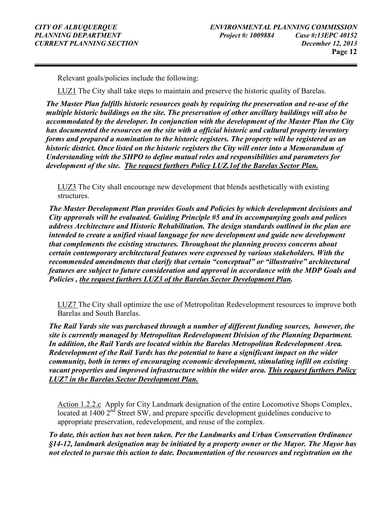Relevant goals/policies include the following:

LUZ1 The City shall take steps to maintain and preserve the historic quality of Barelas.

*The Master Plan fulfills historic resources goals by requiring the preservation and re-use of the multiple historic buildings on the site. The preservation of other ancillary buildings will also be accommodated by the developer. In conjunction with the development of the Master Plan the City has documented the resources on the site with a official historic and cultural property inventory forms and prepared a nomination to the historic registers. The property will be registered as an historic district. Once listed on the historic registers the City will enter into a Memorandum of Understanding with the SHPO to define mutual roles and responsibilities and parameters for development of the site. The request furthers Policy LUZ.1of the Barelas Sector Plan.*

LUZ3 The City shall encourage new development that blends aesthetically with existing structures.

*The Master Development Plan provides Goals and Policies by which development decisions and City approvals will be evaluated. Guiding Principle #5 and its accompanying goals and polices address Architecture and Historic Rehabilitation. The design standards outlined in the plan are intended to create a unified visual language for new development and guide new development that complements the existing structures. Throughout the planning process concerns about certain contemporary architectural features were expressed by various stakeholders. With the recommended amendments that clarify that certain "conceptual" or "illustrative" architectural features are subject to future consideration and approval in accordance with the MDP Goals and Policies , the request furthers LUZ3 of the Barelas Sector Development Plan.* 

LUZ7 The City shall optimize the use of Metropolitan Redevelopment resources to improve both Barelas and South Barelas.

*The Rail Yards site was purchased through a number of different funding sources, however, the site is currently managed by Metropolitan Redevelopment Division of the Planning Department. In addition, the Rail Yards are located within the Barelas Metropolitan Redevelopment Area. Redevelopment of the Rail Yards has the potential to have a significant impact on the wider community, both in terms of encouraging economic development, stimulating infill on existing vacant properties and improved infrastructure within the wider area. This request furthers Policy LUZ7 in the Barelas Sector Development Plan.* 

Action 1.2.2.c Apply for City Landmark designation of the entire Locomotive Shops Complex,  $\overline{\text{located at } 1400}$   $2^{\text{nd}}$  Street SW, and prepare specific development guidelines conducive to appropriate preservation, redevelopment, and reuse of the complex.

*To date, this action has not been taken. Per the Landmarks and Urban Conservation Ordinance §14-12, landmark designation may be initiated by a property owner or the Mayor. The Mayor has not elected to pursue this action to date. Documentation of the resources and registration on the*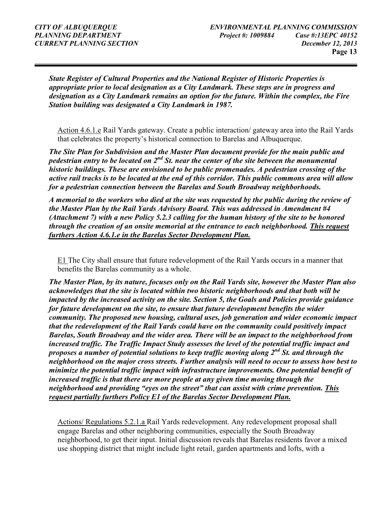*State Register of Cultural Properties and the National Register of Historic Properties is appropriate prior to local designation as a City Landmark. These steps are in progress and designation as a City Landmark remains an option for the future. Within the complex, the Fire Station building was designated a City Landmark in 1987.* 

Action 4.6.1.e Rail Yards gateway. Create a public interaction/ gateway area into the Rail Yards that celebrates the property's historical connection to Barelas and Albuquerque.

*The Site Plan for Subdivision and the Master Plan document provide for the main public and pedestrian entry to be located on 2nd St. near the center of the site between the monumental historic buildings. These are envisioned to be public promenades. A pedestrian crossing of the active rail tracks is to be located at the end of this corridor. This public commons area will allow for a pedestrian connection between the Barelas and South Broadway neighborhoods.* 

*A memorial to the workers who died at the site was requested by the public during the review of the Master Plan by the Rail Yards Advisory Board. This was addressed in Amendment #4 (Attachment 7) with a new Policy 5.2.3 calling for the human history of the site to be honored through the creation of an onsite memorial at the entrance to each neighborhood. This request furthers Action 4.6.1.e in the Barelas Sector Development Plan.* 

E1 The City shall ensure that future redevelopment of the Rail Yards occurs in a manner that benefits the Barelas community as a whole.

*The Master Plan, by its nature, focuses only on the Rail Yards site, however the Master Plan also acknowledges that the site is located within two historic neighborhoods and that both will be impacted by the increased activity on the site. Section 5, the Goals and Policies provide guidance for future development on the site, to ensure that future development benefits the wider community. The proposed new housing, cultural uses, job generation and wider economic impact that the redevelopment of the Rail Yards could have on the community could positively impact Barelas, South Broadway and the wider area. There will be an impact to the neighborhood from increased traffic. The Traffic Impact Study assesses the level of the potential traffic impact and proposes a number of potential solutions to keep traffic moving along 2nd St. and through the neighborhood on the major cross streets. Further analysis will need to occur to assess how best to minimize the potential traffic impact with infrastructure improvements. One potential benefit of increased traffic is that there are more people at any given time moving through the neighborhood and providing "eyes on the street" that can assist with crime prevention. This request partially furthers Policy E1 of the Barelas Sector Development Plan.* 

Actions/ Regulations 5.2.1.a Rail Yards redevelopment. Any redevelopment proposal shall engage Barelas and other neighboring communities, especially the South Broadway neighborhood, to get their input. Initial discussion reveals that Barelas residents favor a mixed use shopping district that might include light retail, garden apartments and lofts, with a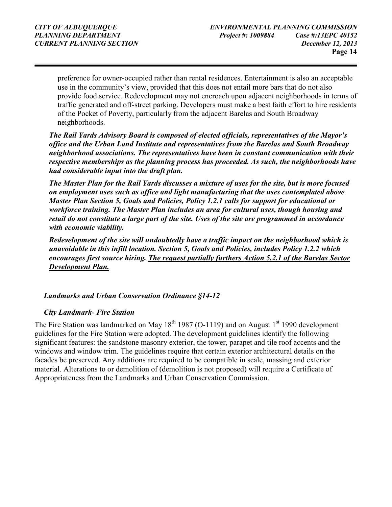preference for owner-occupied rather than rental residences. Entertainment is also an acceptable use in the community's view, provided that this does not entail more bars that do not also provide food service. Redevelopment may not encroach upon adjacent neighborhoods in terms of traffic generated and off-street parking. Developers must make a best faith effort to hire residents of the Pocket of Poverty, particularly from the adjacent Barelas and South Broadway neighborhoods.

*The Rail Yards Advisory Board is composed of elected officials, representatives of the Mayor's office and the Urban Land Institute and representatives from the Barelas and South Broadway neighborhood associations. The representatives have been in constant communication with their respective memberships as the planning process has proceeded. As such, the neighborhoods have had considerable input into the draft plan.* 

*The Master Plan for the Rail Yards discusses a mixture of uses for the site, but is more focused on employment uses such as office and light manufacturing that the uses contemplated above Master Plan Section 5, Goals and Policies, Policy 1.2.1 calls for support for educational or workforce training. The Master Plan includes an area for cultural uses, though housing and retail do not constitute a large part of the site. Uses of the site are programmed in accordance with economic viability.* 

*Redevelopment of the site will undoubtedly have a traffic impact on the neighborhood which is unavoidable in this infill location. Section 5, Goals and Policies, includes Policy 1.2.2 which encourages first source hiring. The request partially furthers Action 5.2.1 of the Barelas Sector Development Plan.* 

#### *Landmarks and Urban Conservation Ordinance §14-12*

#### *City Landmark- Fire Station*

The Fire Station was landmarked on May  $18<sup>th</sup> 1987$  (O-1119) and on August  $1<sup>st</sup> 1990$  development guidelines for the Fire Station were adopted. The development guidelines identify the following significant features: the sandstone masonry exterior, the tower, parapet and tile roof accents and the windows and window trim. The guidelines require that certain exterior architectural details on the facades be preserved. Any additions are required to be compatible in scale, massing and exterior material. Alterations to or demolition of (demolition is not proposed) will require a Certificate of Appropriateness from the Landmarks and Urban Conservation Commission.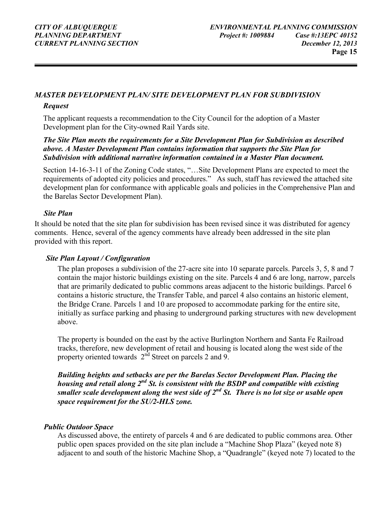#### *MASTER DEVELOPMENT PLAN/ SITE DEVELOPMENT PLAN FOR SUBDIVISION*

#### *Request*

The applicant requests a recommendation to the City Council for the adoption of a Master Development plan for the City-owned Rail Yards site.

#### *The Site Plan meets the requirements for a Site Development Plan for Subdivision as described above. A Master Development Plan contains information that supports the Site Plan for Subdivision with additional narrative information contained in a Master Plan document.*

Section 14-16-3-11 of the Zoning Code states, "…Site Development Plans are expected to meet the requirements of adopted city policies and procedures." As such, staff has reviewed the attached site development plan for conformance with applicable goals and policies in the Comprehensive Plan and the Barelas Sector Development Plan).

#### *Site Plan*

It should be noted that the site plan for subdivision has been revised since it was distributed for agency comments. Hence, several of the agency comments have already been addressed in the site plan provided with this report.

#### *Site Plan Layout / Configuration*

The plan proposes a subdivision of the 27-acre site into 10 separate parcels. Parcels 3, 5, 8 and 7 contain the major historic buildings existing on the site. Parcels 4 and 6 are long, narrow, parcels that are primarily dedicated to public commons areas adjacent to the historic buildings. Parcel 6 contains a historic structure, the Transfer Table, and parcel 4 also contains an historic element, the Bridge Crane. Parcels 1 and 10 are proposed to accommodate parking for the entire site, initially as surface parking and phasing to underground parking structures with new development above.

The property is bounded on the east by the active Burlington Northern and Santa Fe Railroad tracks, therefore, new development of retail and housing is located along the west side of the property oriented towards  $2<sup>nd</sup>$  Street on parcels 2 and 9.

*Building heights and setbacks are per the Barelas Sector Development Plan. Placing the housing and retail along 2nd St. is consistent with the BSDP and compatible with existing smaller scale development along the west side of 2nd St. There is no lot size or usable open space requirement for the SU/2-HLS zone.* 

#### *Public Outdoor Space*

As discussed above, the entirety of parcels 4 and 6 are dedicated to public commons area. Other public open spaces provided on the site plan include a "Machine Shop Plaza" (keyed note 8) adjacent to and south of the historic Machine Shop, a "Quadrangle" (keyed note 7) located to the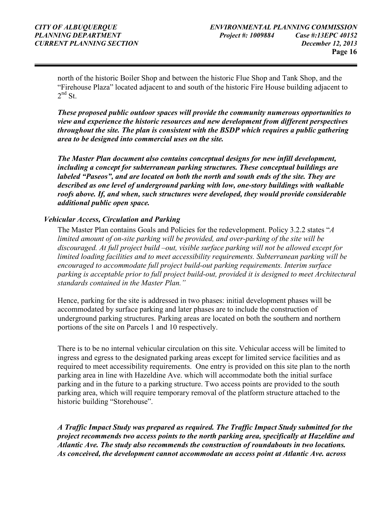north of the historic Boiler Shop and between the historic Flue Shop and Tank Shop, and the "Firehouse Plaza" located adjacent to and south of the historic Fire House building adjacent to  $2<sup>nd</sup>$  St.

*These proposed public outdoor spaces will provide the community numerous opportunities to view and experience the historic resources and new development from different perspectives throughout the site. The plan is consistent with the BSDP which requires a public gathering area to be designed into commercial uses on the site.*

*The Master Plan document also contains conceptual designs for new infill development, including a concept for subterranean parking structures. These conceptual buildings are labeled "Paseos", and are located on both the north and south ends of the site. They are described as one level of underground parking with low, one-story buildings with walkable roofs above. If, and when, such structures were developed, they would provide considerable additional public open space.* 

#### *Vehicular Access, Circulation and Parking*

The Master Plan contains Goals and Policies for the redevelopment. Policy 3.2.2 states "*A limited amount of on-site parking will be provided, and over-parking of the site will be discouraged. At full project build –out, visible surface parking will not be allowed except for limited loading facilities and to meet accessibility requirements. Subterranean parking will be encouraged to accommodate full project build-out parking requirements. Interim surface parking is acceptable prior to full project build-out, provided it is designed to meet Architectural standards contained in the Master Plan."* 

Hence, parking for the site is addressed in two phases: initial development phases will be accommodated by surface parking and later phases are to include the construction of underground parking structures. Parking areas are located on both the southern and northern portions of the site on Parcels 1 and 10 respectively.

There is to be no internal vehicular circulation on this site. Vehicular access will be limited to ingress and egress to the designated parking areas except for limited service facilities and as required to meet accessibility requirements. One entry is provided on this site plan to the north parking area in line with Hazeldine Ave. which will accommodate both the initial surface parking and in the future to a parking structure. Two access points are provided to the south parking area, which will require temporary removal of the platform structure attached to the historic building "Storehouse".

*A Traffic Impact Study was prepared as required. The Traffic Impact Study submitted for the project recommends two access points to the north parking area, specifically at Hazeldine and Atlantic Ave. The study also recommends the construction of roundabouts in two locations. As conceived, the development cannot accommodate an access point at Atlantic Ave. across*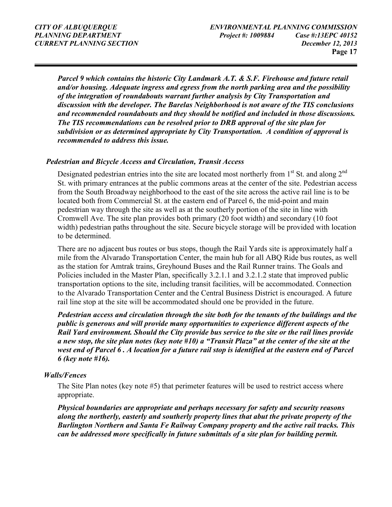*Parcel 9 which contains the historic City Landmark A.T. & S.F. Firehouse and future retail and/or housing. Adequate ingress and egress from the north parking area and the possibility of the integration of roundabouts warrant further analysis by City Transportation and discussion with the developer. The Barelas Neighborhood is not aware of the TIS conclusions and recommended roundabouts and they should be notified and included in those discussions. The TIS recommendations can be resolved prior to DRB approval of the site plan for subdivision or as determined appropriate by City Transportation. A condition of approval is recommended to address this issue.* 

#### *Pedestrian and Bicycle Access and Circulation, Transit Access*

Designated pedestrian entries into the site are located most northerly from  $1<sup>st</sup>$  St. and along  $2<sup>nd</sup>$ St. with primary entrances at the public commons areas at the center of the site. Pedestrian access from the South Broadway neighborhood to the east of the site across the active rail line is to be located both from Commercial St. at the eastern end of Parcel 6, the mid-point and main pedestrian way through the site as well as at the southerly portion of the site in line with Cromwell Ave. The site plan provides both primary (20 foot width) and secondary (10 foot width) pedestrian paths throughout the site. Secure bicycle storage will be provided with location to be determined.

There are no adjacent bus routes or bus stops, though the Rail Yards site is approximately half a mile from the Alvarado Transportation Center, the main hub for all ABQ Ride bus routes, as well as the station for Amtrak trains, Greyhound Buses and the Rail Runner trains. The Goals and Policies included in the Master Plan, specifically 3.2.1.1 and 3.2.1.2 state that improved public transportation options to the site, including transit facilities, will be accommodated. Connection to the Alvarado Transportation Center and the Central Business District is encouraged. A future rail line stop at the site will be accommodated should one be provided in the future.

*Pedestrian access and circulation through the site both for the tenants of the buildings and the public is generous and will provide many opportunities to experience different aspects of the Rail Yard environment. Should the City provide bus service to the site or the rail lines provide a new stop, the site plan notes (key note #10) a "Transit Plaza" at the center of the site at the west end of Parcel 6 . A location for a future rail stop is identified at the eastern end of Parcel 6 (key note #16).* 

#### *Walls/Fences*

The Site Plan notes (key note #5) that perimeter features will be used to restrict access where appropriate.

*Physical boundaries are appropriate and perhaps necessary for safety and security reasons along the northerly, easterly and southerly property lines that abut the private property of the Burlington Northern and Santa Fe Railway Company property and the active rail tracks. This can be addressed more specifically in future submittals of a site plan for building permit.*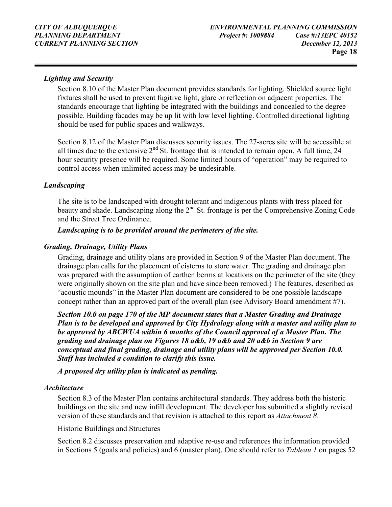#### *Lighting and Security*

Section 8.10 of the Master Plan document provides standards for lighting. Shielded source light fixtures shall be used to prevent fugitive light, glare or reflection on adjacent properties. The standards encourage that lighting be integrated with the buildings and concealed to the degree possible. Building facades may be up lit with low level lighting. Controlled directional lighting should be used for public spaces and walkways.

Section 8.12 of the Master Plan discusses security issues. The 27-acres site will be accessible at all times due to the extensive  $2<sup>nd</sup>$  St. frontage that is intended to remain open. A full time, 24 hour security presence will be required. Some limited hours of "operation" may be required to control access when unlimited access may be undesirable.

#### *Landscaping*

The site is to be landscaped with drought tolerant and indigenous plants with tress placed for beauty and shade. Landscaping along the 2<sup>nd</sup> St. frontage is per the Comprehensive Zoning Code and the Street Tree Ordinance.

#### *Landscaping is to be provided around the perimeters of the site.*

#### *Grading, Drainage, Utility Plans*

Grading, drainage and utility plans are provided in Section 9 of the Master Plan document. The drainage plan calls for the placement of cisterns to store water. The grading and drainage plan was prepared with the assumption of earthen berms at locations on the perimeter of the site (they were originally shown on the site plan and have since been removed.) The features, described as "acoustic mounds" in the Master Plan document are considered to be one possible landscape concept rather than an approved part of the overall plan (see Advisory Board amendment #7).

*Section 10.0 on page 170 of the MP document states that a Master Grading and Drainage Plan is to be developed and approved by City Hydrology along with a master and utility plan to be approved by ABCWUA within 6 months of the Council approval of a Master Plan. The grading and drainage plan on Figures 18 a&b, 19 a&b and 20 a&b in Section 9 are conceptual and final grading, drainage and utility plans will be approved per Section 10.0. Staff has included a condition to clarify this issue.* 

*A proposed dry utility plan is indicated as pending.* 

#### *Architecture*

Section 8.3 of the Master Plan contains architectural standards. They address both the historic buildings on the site and new infill development. The developer has submitted a slightly revised version of these standards and that revision is attached to this report as *Attachment 8*.

#### Historic Buildings and Structures

Section 8.2 discusses preservation and adaptive re-use and references the information provided in Sections 5 (goals and policies) and 6 (master plan). One should refer to *Tableau 1* on pages 52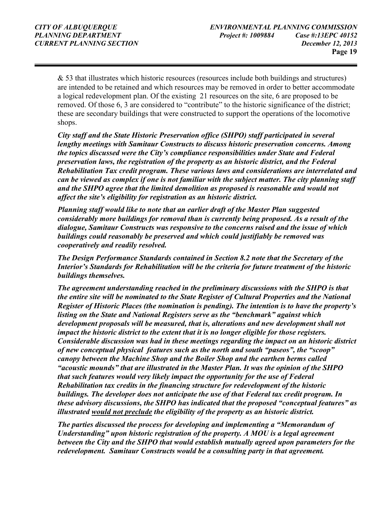& 53 that illustrates which historic resources (resources include both buildings and structures) are intended to be retained and which resources may be removed in order to better accommodate a logical redevelopment plan. Of the existing 21 resources on the site, 6 are proposed to be removed. Of those 6, 3 are considered to "contribute" to the historic significance of the district; these are secondary buildings that were constructed to support the operations of the locomotive shops.

*City staff and the State Historic Preservation office (SHPO) staff participated in several lengthy meetings with Samitaur Constructs to discuss historic preservation concerns. Among the topics discussed were the City's compliance responsibilities under State and Federal preservation laws, the registration of the property as an historic district, and the Federal Rehabilitation Tax credit program. These various laws and considerations are interrelated and can be viewed as complex if one is not familiar with the subject matter. The city planning staff and the SHPO agree that the limited demolition as proposed is reasonable and would not affect the site's eligibility for registration as an historic district.* 

*Planning staff would like to note that an earlier draft of the Master Plan suggested considerably more buildings for removal than is currently being proposed. As a result of the dialogue, Samitaur Constructs was responsive to the concerns raised and the issue of which buildings could reasonably be preserved and which could justifiably be removed was cooperatively and readily resolved.* 

*The Design Performance Standards contained in Section 8.2 note that the Secretary of the Interior's Standards for Rehabilitation will be the criteria for future treatment of the historic buildings themselves.* 

*The agreement understanding reached in the preliminary discussions with the SHPO is that the entire site will be nominated to the State Register of Cultural Properties and the National Register of Historic Places (the nomination is pending). The intention is to have the property's listing on the State and National Registers serve as the "benchmark" against which development proposals will be measured, that is, alterations and new development shall not impact the historic district to the extent that it is no longer eligible for those registers. Considerable discussion was had in these meetings regarding the impact on an historic district of new conceptual physical features such as the north and south "paseos", the "scoop" canopy between the Machine Shop and the Boiler Shop and the earthen berms called "acoustic mounds" that are illustrated in the Master Plan. It was the opinion of the SHPO that such features would very likely impact the opportunity for the use of Federal Rehabilitation tax credits in the financing structure for redevelopment of the historic buildings. The developer does not anticipate the use of that Federal tax credit program. In these advisory discussions, the SHPO has indicated that the proposed "conceptual features" as illustrated would not preclude the eligibility of the property as an historic district.* 

*The parties discussed the process for developing and implementing a "Memorandum of Understanding" upon historic registration of the property. A MOU is a legal agreement between the City and the SHPO that would establish mutually agreed upon parameters for the redevelopment. Samitaur Constructs would be a consulting party in that agreement.*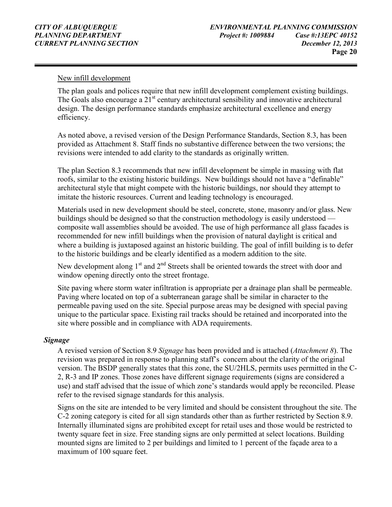#### New infill development

The plan goals and polices require that new infill development complement existing buildings. The Goals also encourage a  $21<sup>st</sup>$  century architectural sensibility and innovative architectural design. The design performance standards emphasize architectural excellence and energy efficiency.

As noted above, a revised version of the Design Performance Standards, Section 8.3, has been provided as Attachment 8. Staff finds no substantive difference between the two versions; the revisions were intended to add clarity to the standards as originally written.

The plan Section 8.3 recommends that new infill development be simple in massing with flat roofs, similar to the existing historic buildings. New buildings should not have a "definable" architectural style that might compete with the historic buildings, nor should they attempt to imitate the historic resources. Current and leading technology is encouraged.

Materials used in new development should be steel, concrete, stone, masonry and/or glass. New buildings should be designed so that the construction methodology is easily understood composite wall assemblies should be avoided. The use of high performance all glass facades is recommended for new infill buildings when the provision of natural daylight is critical and where a building is juxtaposed against an historic building. The goal of infill building is to defer to the historic buildings and be clearly identified as a modern addition to the site.

New development along  $1<sup>st</sup>$  and  $2<sup>nd</sup>$  Streets shall be oriented towards the street with door and window opening directly onto the street frontage.

Site paving where storm water infiltration is appropriate per a drainage plan shall be permeable. Paving where located on top of a subterranean garage shall be similar in character to the permeable paving used on the site. Special purpose areas may be designed with special paving unique to the particular space. Existing rail tracks should be retained and incorporated into the site where possible and in compliance with ADA requirements.

#### *Signage*

A revised version of Section 8.9 *Signage* has been provided and is attached (*Attachment 8*). The revision was prepared in response to planning staff's concern about the clarity of the original version. The BSDP generally states that this zone, the SU/2HLS, permits uses permitted in the C-2, R-3 and IP zones. Those zones have different signage requirements (signs are considered a use) and staff advised that the issue of which zone's standards would apply be reconciled. Please refer to the revised signage standards for this analysis.

Signs on the site are intended to be very limited and should be consistent throughout the site. The C-2 zoning category is cited for all sign standards other than as further restricted by Section 8.9. Internally illuminated signs are prohibited except for retail uses and those would be restricted to twenty square feet in size. Free standing signs are only permitted at select locations. Building mounted signs are limited to 2 per buildings and limited to 1 percent of the façade area to a maximum of 100 square feet.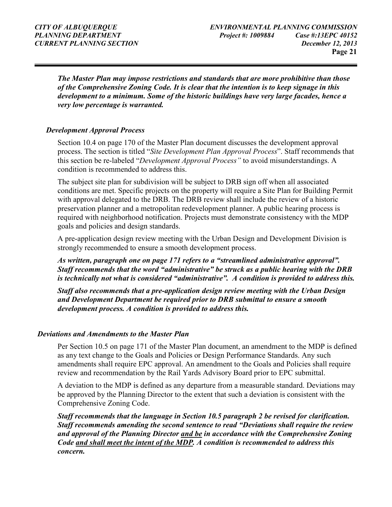*The Master Plan may impose restrictions and standards that are more prohibitive than those of the Comprehensive Zoning Code. It is clear that the intention is to keep signage in this development to a minimum. Some of the historic buildings have very large facades, hence a very low percentage is warranted.* 

#### *Development Approval Process*

Section 10.4 on page 170 of the Master Plan document discusses the development approval process. The section is titled "*Site Development Plan Approval Process*". Staff recommends that this section be re-labeled "*Development Approval Process"* to avoid misunderstandings. A condition is recommended to address this.

The subject site plan for subdivision will be subject to DRB sign off when all associated conditions are met. Specific projects on the property will require a Site Plan for Building Permit with approval delegated to the DRB. The DRB review shall include the review of a historic preservation planner and a metropolitan redevelopment planner. A public hearing process is required with neighborhood notification. Projects must demonstrate consistency with the MDP goals and policies and design standards.

A pre-application design review meeting with the Urban Design and Development Division is strongly recommended to ensure a smooth development process.

*As written, paragraph one on page 171 refers to a "streamlined administrative approval". Staff recommends that the word "administrative" be struck as a public hearing with the DRB is technically not what is considered "administrative". A condition is provided to address this.* 

*Staff also recommends that a pre-application design review meeting with the Urban Design and Development Department be required prior to DRB submittal to ensure a smooth development process. A condition is provided to address this.* 

#### *Deviations and Amendments to the Master Plan*

Per Section 10.5 on page 171 of the Master Plan document, an amendment to the MDP is defined as any text change to the Goals and Policies or Design Performance Standards. Any such amendments shall require EPC approval. An amendment to the Goals and Policies shall require review and recommendation by the Rail Yards Advisory Board prior to EPC submittal.

A deviation to the MDP is defined as any departure from a measurable standard. Deviations may be approved by the Planning Director to the extent that such a deviation is consistent with the Comprehensive Zoning Code.

*Staff recommends that the language in Section 10.5 paragraph 2 be revised for clarification. Staff recommends amending the second sentence to read "Deviations shall require the review and approval of the Planning Director and be in accordance with the Comprehensive Zoning Code and shall meet the intent of the MDP. A condition is recommended to address this concern.*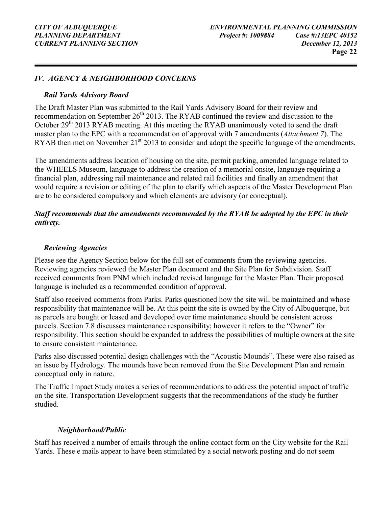#### *IV. AGENCY & NEIGHBORHOOD CONCERNS*

#### *Rail Yards Advisory Board*

The Draft Master Plan was submitted to the Rail Yards Advisory Board for their review and recommendation on September  $26<sup>th</sup> 2013$ . The RYAB continued the review and discussion to the October  $29<sup>th</sup> 2013 RYAB$  meeting. At this meeting the RYAB unanimously voted to send the draft master plan to the EPC with a recommendation of approval with 7 amendments (*Attachment 7*). The RYAB then met on November 21<sup>st</sup> 2013 to consider and adopt the specific language of the amendments.

The amendments address location of housing on the site, permit parking, amended language related to the WHEELS Museum, language to address the creation of a memorial onsite, language requiring a financial plan, addressing rail maintenance and related rail facilities and finally an amendment that would require a revision or editing of the plan to clarify which aspects of the Master Development Plan are to be considered compulsory and which elements are advisory (or conceptual).

#### *Staff recommends that the amendments recommended by the RYAB be adopted by the EPC in their entirety.*

#### *Reviewing Agencies*

Please see the Agency Section below for the full set of comments from the reviewing agencies. Reviewing agencies reviewed the Master Plan document and the Site Plan for Subdivision. Staff received comments from PNM which included revised language for the Master Plan. Their proposed language is included as a recommended condition of approval.

Staff also received comments from Parks. Parks questioned how the site will be maintained and whose responsibility that maintenance will be. At this point the site is owned by the City of Albuquerque, but as parcels are bought or leased and developed over time maintenance should be consistent across parcels. Section 7.8 discusses maintenance responsibility; however it refers to the "Owner" for responsibility. This section should be expanded to address the possibilities of multiple owners at the site to ensure consistent maintenance.

Parks also discussed potential design challenges with the "Acoustic Mounds". These were also raised as an issue by Hydrology. The mounds have been removed from the Site Development Plan and remain conceptual only in nature.

The Traffic Impact Study makes a series of recommendations to address the potential impact of traffic on the site. Transportation Development suggests that the recommendations of the study be further studied.

#### *Neighborhood/Public*

Staff has received a number of emails through the online contact form on the City website for the Rail Yards. These e mails appear to have been stimulated by a social network posting and do not seem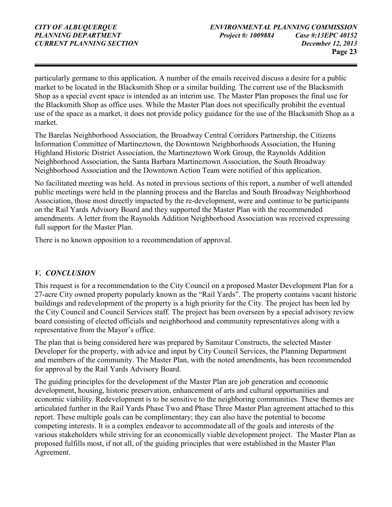particularly germane to this application. A number of the emails received discuss a desire for a public market to be located in the Blacksmith Shop or a similar building. The current use of the Blacksmith Shop as a special event space is intended as an interim use. The Master Plan proposes the final use for the Blacksmith Shop as office uses. While the Master Plan does not specifically prohibit the eventual use of the space as a market, it does not provide policy guidance for the use of the Blacksmith Shop as a market.

The Barelas Neighborhood Association, the Broadway Central Corridors Partnership, the Citizens Information Committee of Martineztown, the Downtown Neighborhoods Association, the Huning Highland Historic District Association, the Martineztown Work Group, the Raynolds Addition Neighborhood Association, the Santa Barbara Martineztown Association, the South Broadway Neighborhood Association and the Downtown Action Team were notified of this application.

No facilitated meeting was held. As noted in previous sections of this report, a number of well attended public meetings were held in the planning process and the Barelas and South Broadway Neighborhood Association, those most directly impacted by the re-development, were and continue to be participants on the Rail Yards Advisory Board and they supported the Master Plan with the recommended amendments. A letter from the Raynolds Addition Neighborhood Association was received expressing full support for the Master Plan.

There is no known opposition to a recommendation of approval.

#### *V. CONCLUSION*

This request is for a recommendation to the City Council on a proposed Master Development Plan for a 27-acre City owned property popularly known as the "Rail Yards". The property contains vacant historic buildings and redevelopment of the property is a high priority for the City. The project has been led by the City Council and Council Services staff. The project has been overseen by a special advisory review board consisting of elected officials and neighborhood and community representatives along with a representative from the Mayor's office.

The plan that is being considered here was prepared by Samitaur Constructs, the selected Master Developer for the property, with advice and input by City Council Services, the Planning Department and members of the community. The Master Plan, with the noted amendments, has been recommended for approval by the Rail Yards Advisory Board.

The guiding principles for the development of the Master Plan are job generation and economic development, housing, historic preservation, enhancement of arts and cultural opportunities and economic viability. Redevelopment is to be sensitive to the neighboring communities. These themes are articulated further in the Rail Yards Phase Two and Phase Three Master Plan agreement attached to this report. These multiple goals can be complimentary; they can also have the potential to become competing interests. It is a complex endeavor to accommodate all of the goals and interests of the various stakeholders while striving for an economically viable development project. The Master Plan as proposed fulfills most, if not all, of the guiding principles that were established in the Master Plan Agreement.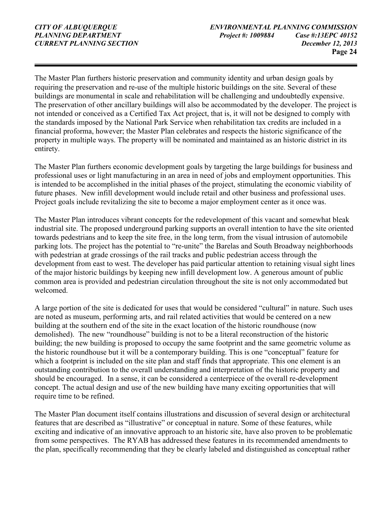The Master Plan furthers historic preservation and community identity and urban design goals by requiring the preservation and re-use of the multiple historic buildings on the site. Several of these buildings are monumental in scale and rehabilitation will be challenging and undoubtedly expensive. The preservation of other ancillary buildings will also be accommodated by the developer. The project is not intended or conceived as a Certified Tax Act project, that is, it will not be designed to comply with the standards imposed by the National Park Service when rehabilitation tax credits are included in a financial proforma, however; the Master Plan celebrates and respects the historic significance of the property in multiple ways. The property will be nominated and maintained as an historic district in its entirety.

The Master Plan furthers economic development goals by targeting the large buildings for business and professional uses or light manufacturing in an area in need of jobs and employment opportunities. This is intended to be accomplished in the initial phases of the project, stimulating the economic viability of future phases. New infill development would include retail and other business and professional uses. Project goals include revitalizing the site to become a major employment center as it once was.

The Master Plan introduces vibrant concepts for the redevelopment of this vacant and somewhat bleak industrial site. The proposed underground parking supports an overall intention to have the site oriented towards pedestrians and to keep the site free, in the long term, from the visual intrusion of automobile parking lots. The project has the potential to "re-unite" the Barelas and South Broadway neighborhoods with pedestrian at grade crossings of the rail tracks and public pedestrian access through the development from east to west. The developer has paid particular attention to retaining visual sight lines of the major historic buildings by keeping new infill development low. A generous amount of public common area is provided and pedestrian circulation throughout the site is not only accommodated but welcomed.

A large portion of the site is dedicated for uses that would be considered "cultural" in nature. Such uses are noted as museum, performing arts, and rail related activities that would be centered on a new building at the southern end of the site in the exact location of the historic roundhouse (now demolished). The new "roundhouse" building is not to be a literal reconstruction of the historic building; the new building is proposed to occupy the same footprint and the same geometric volume as the historic roundhouse but it will be a contemporary building. This is one "conceptual" feature for which a footprint is included on the site plan and staff finds that appropriate. This one element is an outstanding contribution to the overall understanding and interpretation of the historic property and should be encouraged. In a sense, it can be considered a centerpiece of the overall re-development concept. The actual design and use of the new building have many exciting opportunities that will require time to be refined.

The Master Plan document itself contains illustrations and discussion of several design or architectural features that are described as "illustrative" or conceptual in nature. Some of these features, while exciting and indicative of an innovative approach to an historic site, have also proven to be problematic from some perspectives. The RYAB has addressed these features in its recommended amendments to the plan, specifically recommending that they be clearly labeled and distinguished as conceptual rather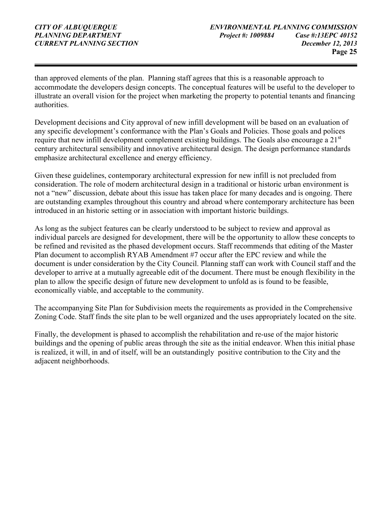than approved elements of the plan. Planning staff agrees that this is a reasonable approach to accommodate the developers design concepts. The conceptual features will be useful to the developer to illustrate an overall vision for the project when marketing the property to potential tenants and financing authorities.

Development decisions and City approval of new infill development will be based on an evaluation of any specific development's conformance with the Plan's Goals and Policies. Those goals and polices require that new infill development complement existing buildings. The Goals also encourage a 21<sup>st</sup> century architectural sensibility and innovative architectural design. The design performance standards emphasize architectural excellence and energy efficiency.

Given these guidelines, contemporary architectural expression for new infill is not precluded from consideration. The role of modern architectural design in a traditional or historic urban environment is not a "new" discussion, debate about this issue has taken place for many decades and is ongoing. There are outstanding examples throughout this country and abroad where contemporary architecture has been introduced in an historic setting or in association with important historic buildings.

As long as the subject features can be clearly understood to be subject to review and approval as individual parcels are designed for development, there will be the opportunity to allow these concepts to be refined and revisited as the phased development occurs. Staff recommends that editing of the Master Plan document to accomplish RYAB Amendment #7 occur after the EPC review and while the document is under consideration by the City Council. Planning staff can work with Council staff and the developer to arrive at a mutually agreeable edit of the document. There must be enough flexibility in the plan to allow the specific design of future new development to unfold as is found to be feasible, economically viable, and acceptable to the community.

The accompanying Site Plan for Subdivision meets the requirements as provided in the Comprehensive Zoning Code. Staff finds the site plan to be well organized and the uses appropriately located on the site.

Finally, the development is phased to accomplish the rehabilitation and re-use of the major historic buildings and the opening of public areas through the site as the initial endeavor. When this initial phase is realized, it will, in and of itself, will be an outstandingly positive contribution to the City and the adjacent neighborhoods.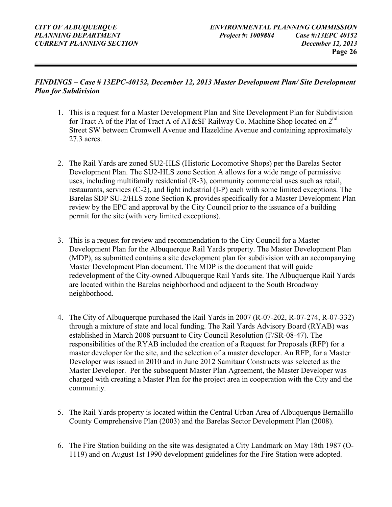#### *FINDINGS – Case # 13EPC-40152, December 12, 2013 Master Development Plan/ Site Development Plan for Subdivision*

- 1. This is a request for a Master Development Plan and Site Development Plan for Subdivision for Tract A of the Plat of Tract A of AT&SF Railway Co. Machine Shop located on 2<sup>nd</sup> Street SW between Cromwell Avenue and Hazeldine Avenue and containing approximately 27.3 acres.
- 2. The Rail Yards are zoned SU2-HLS (Historic Locomotive Shops) per the Barelas Sector Development Plan. The SU2-HLS zone Section A allows for a wide range of permissive uses, including multifamily residential (R-3), community commercial uses such as retail, restaurants, services (C-2), and light industrial (I-P) each with some limited exceptions. The Barelas SDP SU-2/HLS zone Section K provides specifically for a Master Development Plan review by the EPC and approval by the City Council prior to the issuance of a building permit for the site (with very limited exceptions).
- 3. This is a request for review and recommendation to the City Council for a Master Development Plan for the Albuquerque Rail Yards property. The Master Development Plan (MDP), as submitted contains a site development plan for subdivision with an accompanying Master Development Plan document. The MDP is the document that will guide redevelopment of the City-owned Albuquerque Rail Yards site. The Albuquerque Rail Yards are located within the Barelas neighborhood and adjacent to the South Broadway neighborhood.
- 4. The City of Albuquerque purchased the Rail Yards in 2007 (R-07-202, R-07-274, R-07-332) through a mixture of state and local funding. The Rail Yards Advisory Board (RYAB) was established in March 2008 pursuant to City Council Resolution (F/SR-08-47). The responsibilities of the RYAB included the creation of a Request for Proposals (RFP) for a master developer for the site, and the selection of a master developer. An RFP, for a Master Developer was issued in 2010 and in June 2012 Samitaur Constructs was selected as the Master Developer. Per the subsequent Master Plan Agreement, the Master Developer was charged with creating a Master Plan for the project area in cooperation with the City and the community.
- 5. The Rail Yards property is located within the Central Urban Area of Albuquerque Bernalillo County Comprehensive Plan (2003) and the Barelas Sector Development Plan (2008).
- 6. The Fire Station building on the site was designated a City Landmark on May 18th 1987 (O-1119) and on August 1st 1990 development guidelines for the Fire Station were adopted.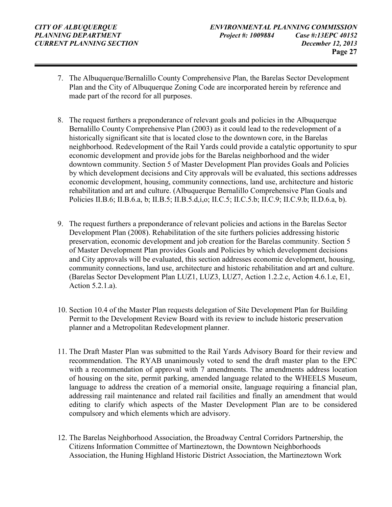- 7. The Albuquerque/Bernalillo County Comprehensive Plan, the Barelas Sector Development Plan and the City of Albuquerque Zoning Code are incorporated herein by reference and made part of the record for all purposes.
- 8. The request furthers a preponderance of relevant goals and policies in the Albuquerque Bernalillo County Comprehensive Plan (2003) as it could lead to the redevelopment of a historically significant site that is located close to the downtown core, in the Barelas neighborhood. Redevelopment of the Rail Yards could provide a catalytic opportunity to spur economic development and provide jobs for the Barelas neighborhood and the wider downtown community. Section 5 of Master Development Plan provides Goals and Policies by which development decisions and City approvals will be evaluated, this sections addresses economic development, housing, community connections, land use, architecture and historic rehabilitation and art and culture. (Albuquerque Bernalillo Comprehensive Plan Goals and Policies II.B.6; II.B.6.a, b; II.B.5; II.B.5.d,i,o; II.C.5; II.C.5.b; II.C.9; II.C.9.b; II.D.6.a, b).
- 9. The request furthers a preponderance of relevant policies and actions in the Barelas Sector Development Plan (2008). Rehabilitation of the site furthers policies addressing historic preservation, economic development and job creation for the Barelas community. Section 5 of Master Development Plan provides Goals and Policies by which development decisions and City approvals will be evaluated, this section addresses economic development, housing, community connections, land use, architecture and historic rehabilitation and art and culture. (Barelas Sector Development Plan LUZ1, LUZ3, LUZ7, Action 1.2.2.c, Action 4.6.1.e, E1, Action 5.2.1.a).
- 10. Section 10.4 of the Master Plan requests delegation of Site Development Plan for Building Permit to the Development Review Board with its review to include historic preservation planner and a Metropolitan Redevelopment planner.
- 11. The Draft Master Plan was submitted to the Rail Yards Advisory Board for their review and recommendation. The RYAB unanimously voted to send the draft master plan to the EPC with a recommendation of approval with 7 amendments. The amendments address location of housing on the site, permit parking, amended language related to the WHEELS Museum, language to address the creation of a memorial onsite, language requiring a financial plan, addressing rail maintenance and related rail facilities and finally an amendment that would editing to clarify which aspects of the Master Development Plan are to be considered compulsory and which elements which are advisory.
- 12. The Barelas Neighborhood Association, the Broadway Central Corridors Partnership, the Citizens Information Committee of Martineztown, the Downtown Neighborhoods Association, the Huning Highland Historic District Association, the Martineztown Work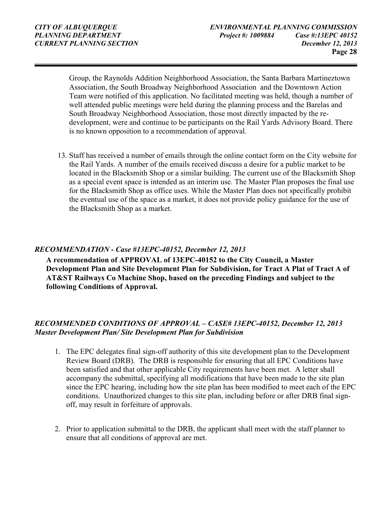Group, the Raynolds Addition Neighborhood Association, the Santa Barbara Martineztown Association, the South Broadway Neighborhood Association and the Downtown Action Team were notified of this application. No facilitated meeting was held, though a number of well attended public meetings were held during the planning process and the Barelas and South Broadway Neighborhood Association, those most directly impacted by the redevelopment, were and continue to be participants on the Rail Yards Advisory Board. There is no known opposition to a recommendation of approval.

13. Staff has received a number of emails through the online contact form on the City website for the Rail Yards. A number of the emails received discuss a desire for a public market to be located in the Blacksmith Shop or a similar building. The current use of the Blacksmith Shop as a special event space is intended as an interim use. The Master Plan proposes the final use for the Blacksmith Shop as office uses. While the Master Plan does not specifically prohibit the eventual use of the space as a market, it does not provide policy guidance for the use of the Blacksmith Shop as a market.

#### *RECOMMENDATION - Case #13EPC-40152, December 12, 2013*

**A recommendation of APPROVAL of 13EPC-40152 to the City Council, a Master Development Plan and Site Development Plan for Subdivision, for Tract A Plat of Tract A of AT&ST Railways Co Machine Shop, based on the preceding Findings and subject to the following Conditions of Approval.**

#### *RECOMMENDED CONDITIONS OF APPROVAL – CASE# 13EPC-40152, December 12, 2013 Master Development Plan/ Site Development Plan for Subdivision*

- 1. The EPC delegates final sign-off authority of this site development plan to the Development Review Board (DRB). The DRB is responsible for ensuring that all EPC Conditions have been satisfied and that other applicable City requirements have been met. A letter shall accompany the submittal, specifying all modifications that have been made to the site plan since the EPC hearing, including how the site plan has been modified to meet each of the EPC conditions. Unauthorized changes to this site plan, including before or after DRB final signoff, may result in forfeiture of approvals.
- 2. Prior to application submittal to the DRB, the applicant shall meet with the staff planner to ensure that all conditions of approval are met.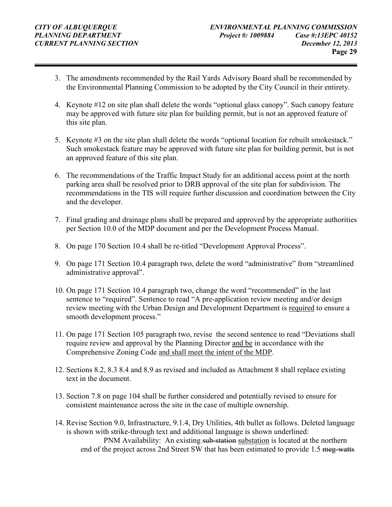- 3. The amendments recommended by the Rail Yards Advisory Board shall be recommended by the Environmental Planning Commission to be adopted by the City Council in their entirety.
- 4. Keynote #12 on site plan shall delete the words "optional glass canopy". Such canopy feature may be approved with future site plan for building permit, but is not an approved feature of this site plan.
- 5. Keynote #3 on the site plan shall delete the words "optional location for rebuilt smokestack." Such smokestack feature may be approved with future site plan for building permit, but is not an approved feature of this site plan.
- 6. The recommendations of the Traffic Impact Study for an additional access point at the north parking area shall be resolved prior to DRB approval of the site plan for subdivision. The recommendations in the TIS will require further discussion and coordination between the City and the developer.
- 7. Final grading and drainage plans shall be prepared and approved by the appropriate authorities per Section 10.0 of the MDP document and per the Development Process Manual.
- 8. On page 170 Section 10.4 shall be re-titled "Development Approval Process".
- 9. On page 171 Section 10.4 paragraph two, delete the word "administrative" from "streamlined administrative approval".
- 10. On page 171 Section 10.4 paragraph two, change the word "recommended" in the last sentence to "required". Sentence to read "A pre-application review meeting and/or design review meeting with the Urban Design and Development Department is required to ensure a smooth development process."
- 11. On page 171 Section 105 paragraph two, revise the second sentence to read "Deviations shall require review and approval by the Planning Director and be in accordance with the Comprehensive Zoning Code and shall meet the intent of the MDP.
- 12. Sections 8.2, 8.3 8.4 and 8.9 as revised and included as Attachment 8 shall replace existing text in the document.
- 13. Section 7.8 on page 104 shall be further considered and potentially revised to ensure for consistent maintenance across the site in the case of multiple ownership.
- 14. Revise Section 9.0, Infrastructure, 9.1.4, Dry Utilities, 4th bullet as follows. Deleted language is shown with strike-through text and additional language is shown underlined: PNM Availability: An existing sub-station substation is located at the northern end of the project across 2nd Street SW that has been estimated to provide 1.5 meg-watts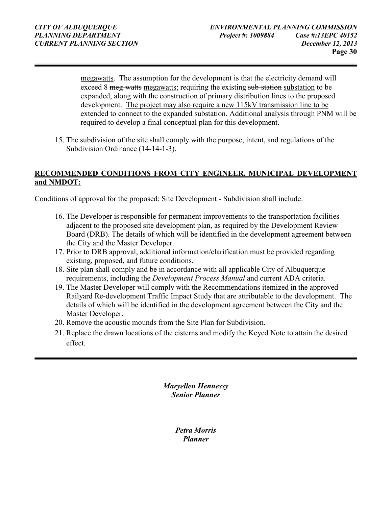megawatts. The assumption for the development is that the electricity demand will exceed 8 meg-watts megawatts; requiring the existing sub-station substation to be expanded, along with the construction of primary distribution lines to the proposed development. The project may also require a new 115kV transmission line to be extended to connect to the expanded substation. Additional analysis through PNM will be required to develop a final conceptual plan for this development.

15. The subdivision of the site shall comply with the purpose, intent, and regulations of the Subdivision Ordinance (14-14-1-3).

#### **RECOMMENDED CONDITIONS FROM CITY ENGINEER, MUNICIPAL DEVELOPMENT and NMDOT:**

Conditions of approval for the proposed: Site Development - Subdivision shall include:

- 16. The Developer is responsible for permanent improvements to the transportation facilities adjacent to the proposed site development plan, as required by the Development Review Board (DRB). The details of which will be identified in the development agreement between the City and the Master Developer.
- 17. Prior to DRB approval, additional information/clarification must be provided regarding existing, proposed, and future conditions.
- 18. Site plan shall comply and be in accordance with all applicable City of Albuquerque requirements, including the *Development Process Manual* and current ADA criteria.
- 19. The Master Developer will comply with the Recommendations itemized in the approved Railyard Re-development Traffic Impact Study that are attributable to the development. The details of which will be identified in the development agreement between the City and the Master Developer.
- 20. Remove the acoustic mounds from the Site Plan for Subdivision.
- 21. Replace the drawn locations of the cisterns and modify the Keyed Note to attain the desired effect.

*Maryellen Hennessy Senior Planner* 

> *Petra Morris Planner*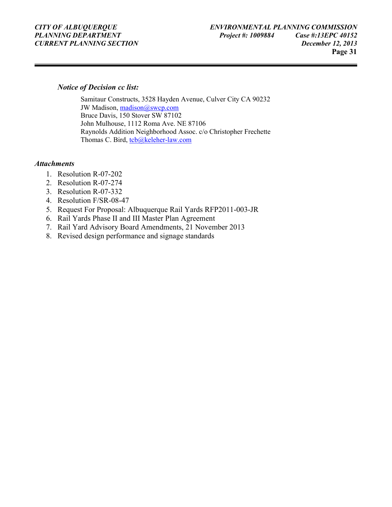#### *Notice of Decision cc list:*

Samitaur Constructs, 3528 Hayden Avenue, Culver City CA 90232 JW Madison, madison@swcp.com Bruce Davis, 150 Stover SW 87102 John Mulhouse, 1112 Roma Ave. NE 87106 Raynolds Addition Neighborhood Assoc. c/o Christopher Frechette Thomas C. Bird, tcb@keleher-law.com

#### *Attachments*

- 1. Resolution R-07-202
- 2. Resolution R-07-274
- 3. Resolution R-07-332
- 4. Resolution F/SR-08-47
- 5. Request For Proposal: Albuquerque Rail Yards RFP2011-003-JR
- 6. Rail Yards Phase II and III Master Plan Agreement
- 7. Rail Yard Advisory Board Amendments, 21 November 2013
- 8. Revised design performance and signage standards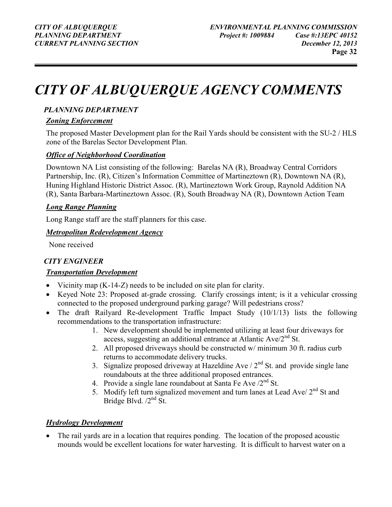## *CITY OF ALBUQUERQUE AGENCY COMMENTS*

#### *PLANNING DEPARTMENT*

#### *Zoning Enforcement*

The proposed Master Development plan for the Rail Yards should be consistent with the SU-2 / HLS zone of the Barelas Sector Development Plan.

#### *Office of Neighborhood Coordination*

Downtown NA List consisting of the following: Barelas NA (R), Broadway Central Corridors Partnership, Inc. (R), Citizen's Information Committee of Martineztown (R), Downtown NA (R), Huning Highland Historic District Assoc. (R), Martineztown Work Group, Raynold Addition NA (R), Santa Barbara-Martineztown Assoc. (R), South Broadway NA (R), Downtown Action Team

#### *Long Range Planning*

Long Range staff are the staff planners for this case.

#### *Metropolitan Redevelopment Agency*

None received

#### *CITY ENGINEER*

#### *Transportation Development*

- Vicinity map (K-14-Z) needs to be included on site plan for clarity.
- Keyed Note 23: Proposed at-grade crossing. Clarify crossings intent; is it a vehicular crossing connected to the proposed underground parking garage? Will pedestrians cross?
- The draft Railyard Re-development Traffic Impact Study (10/1/13) lists the following recommendations to the transportation infrastructure:
	- 1. New development should be implemented utilizing at least four driveways for access, suggesting an additional entrance at Atlantic  $Ave/2^{nd}$  St.
	- 2. All proposed driveways should be constructed w/ minimum 30 ft. radius curb returns to accommodate delivery trucks.
	- 3. Signalize proposed driveway at Hazeldine Ave  $/ 2<sup>nd</sup>$  St. and provide single lane roundabouts at the three additional proposed entrances.
	- 4. Provide a single lane roundabout at Santa Fe Ave  $/2^{nd}$  St.
	- 5. Modify left turn signalized movement and turn lanes at Lead Ave/ $2<sup>nd</sup>$  St and Bridge Blvd.  $/2^{nd}$  St.

#### *Hydrology Development*

• The rail yards are in a location that requires ponding. The location of the proposed acoustic mounds would be excellent locations for water harvesting. It is difficult to harvest water on a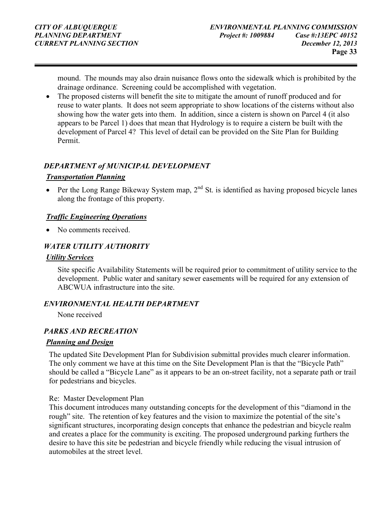mound. The mounds may also drain nuisance flows onto the sidewalk which is prohibited by the drainage ordinance. Screening could be accomplished with vegetation.

• The proposed cisterns will benefit the site to mitigate the amount of runoff produced and for reuse to water plants. It does not seem appropriate to show locations of the cisterns without also showing how the water gets into them. In addition, since a cistern is shown on Parcel 4 (it also appears to be Parcel 1) does that mean that Hydrology is to require a cistern be built with the development of Parcel 4? This level of detail can be provided on the Site Plan for Building Permit.

#### *DEPARTMENT of MUNICIPAL DEVELOPMENT*

#### *Transportation Planning*

• Per the Long Range Bikeway System map,  $2<sup>nd</sup>$  St. is identified as having proposed bicycle lanes along the frontage of this property.

#### *Traffic Engineering Operations*

• No comments received.

#### *WATER UTILITY AUTHORITY*

#### *Utility Services*

Site specific Availability Statements will be required prior to commitment of utility service to the development. Public water and sanitary sewer easements will be required for any extension of ABCWUA infrastructure into the site.

#### *ENVIRONMENTAL HEALTH DEPARTMENT*

None received

#### *PARKS AND RECREATION*

#### *Planning and Design*

The updated Site Development Plan for Subdivision submittal provides much clearer information. The only comment we have at this time on the Site Development Plan is that the "Bicycle Path" should be called a "Bicycle Lane" as it appears to be an on-street facility, not a separate path or trail for pedestrians and bicycles.

#### Re: Master Development Plan

This document introduces many outstanding concepts for the development of this "diamond in the rough" site. The retention of key features and the vision to maximize the potential of the site's significant structures, incorporating design concepts that enhance the pedestrian and bicycle realm and creates a place for the community is exciting. The proposed underground parking furthers the desire to have this site be pedestrian and bicycle friendly while reducing the visual intrusion of automobiles at the street level.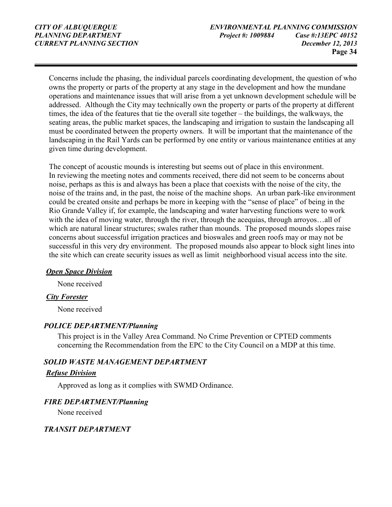Concerns include the phasing, the individual parcels coordinating development, the question of who owns the property or parts of the property at any stage in the development and how the mundane operations and maintenance issues that will arise from a yet unknown development schedule will be addressed. Although the City may technically own the property or parts of the property at different times, the idea of the features that tie the overall site together – the buildings, the walkways, the seating areas, the public market spaces, the landscaping and irrigation to sustain the landscaping all must be coordinated between the property owners. It will be important that the maintenance of the landscaping in the Rail Yards can be performed by one entity or various maintenance entities at any given time during development.

The concept of acoustic mounds is interesting but seems out of place in this environment. In reviewing the meeting notes and comments received, there did not seem to be concerns about noise, perhaps as this is and always has been a place that coexists with the noise of the city, the noise of the trains and, in the past, the noise of the machine shops. An urban park-like environment could be created onsite and perhaps be more in keeping with the "sense of place" of being in the Rio Grande Valley if, for example, the landscaping and water harvesting functions were to work with the idea of moving water, through the river, through the acequias, through arroyos...all of which are natural linear structures; swales rather than mounds. The proposed mounds slopes raise concerns about successful irrigation practices and bioswales and green roofs may or may not be successful in this very dry environment. The proposed mounds also appear to block sight lines into the site which can create security issues as well as limit neighborhood visual access into the site.

#### *Open Space Division*

None received

#### *City Forester*

None received

#### *POLICE DEPARTMENT/Planning*

This project is in the Valley Area Command. No Crime Prevention or CPTED comments concerning the Recommendation from the EPC to the City Council on a MDP at this time.

#### *SOLID WASTE MANAGEMENT DEPARTMENT*

#### *Refuse Division*

Approved as long as it complies with SWMD Ordinance.

#### *FIRE DEPARTMENT/Planning*

None received

#### *TRANSIT DEPARTMENT*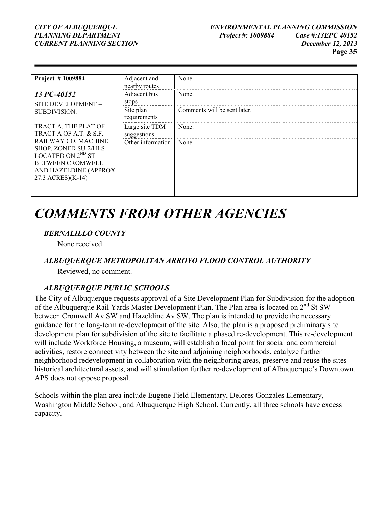# *PLANNING DEPARTMENT*

| <b>Project #1009884</b>                                                                                                                                                                                  | Adjacent and<br>nearby routes | None.                        |
|----------------------------------------------------------------------------------------------------------------------------------------------------------------------------------------------------------|-------------------------------|------------------------------|
| 13 PC-40152<br>SITE DEVELOPMENT -<br>SUBDIVISION.                                                                                                                                                        | Adjacent bus<br>stops         | None.                        |
|                                                                                                                                                                                                          | Site plan<br>requirements     | Comments will be sent later. |
| TRACT A, THE PLAT OF<br>TRACT A OF A.T. & S.F.<br><b>RAILWAY CO. MACHINE</b><br>SHOP, ZONED SU-2/HLS<br>LOCATED ON $2^{ND}$ ST<br><b>BETWEEN CROMWELL</b><br>AND HAZELDINE (APPROX)<br>27.3 ACRES)(K-14) | Large site TDM<br>suggestions | None.                        |
|                                                                                                                                                                                                          | Other information             | None.                        |

### *COMMENTS FROM OTHER AGENCIES*

#### *BERNALILLO COUNTY*

None received

#### *ALBUQUERQUE METROPOLITAN ARROYO FLOOD CONTROL AUTHORITY*

Reviewed, no comment.

#### *ALBUQUERQUE PUBLIC SCHOOLS*

The City of Albuquerque requests approval of a Site Development Plan for Subdivision for the adoption of the Albuquerque Rail Yards Master Development Plan. The Plan area is located on  $2<sup>nd</sup>$  St SW between Cromwell Av SW and Hazeldine Av SW. The plan is intended to provide the necessary guidance for the long-term re-development of the site. Also, the plan is a proposed preliminary site development plan for subdivision of the site to facilitate a phased re-development. This re-development will include Workforce Housing, a museum, will establish a focal point for social and commercial activities, restore connectivity between the site and adjoining neighborhoods, catalyze further neighborhood redevelopment in collaboration with the neighboring areas, preserve and reuse the sites historical architectural assets, and will stimulation further re-development of Albuquerque's Downtown. APS does not oppose proposal.

Schools within the plan area include Eugene Field Elementary, Delores Gonzales Elementary, Washington Middle School, and Albuquerque High School. Currently, all three schools have excess capacity.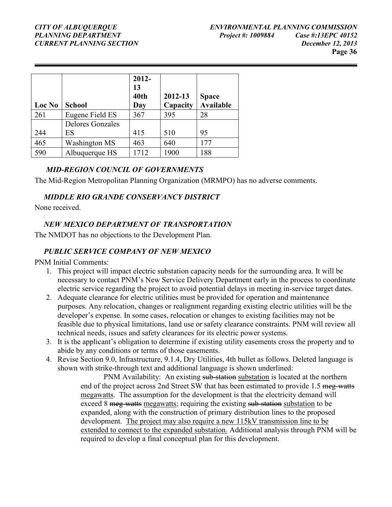# *PLANNING DEPARTMENT*

| Loc No | <b>School</b>           | $2012 -$<br>13<br>40th<br>Day | 2012-13<br>Capacity | <b>Space</b><br><b>Available</b> |
|--------|-------------------------|-------------------------------|---------------------|----------------------------------|
| 261    | Eugene Field ES         | 367                           | 395                 | 28                               |
|        | <b>Delores Gonzales</b> |                               |                     |                                  |
| 244    | ES                      | 415                           | 510                 | 95                               |
| 465    | <b>Washington MS</b>    | 463                           | 640                 | 177                              |
| 590    | Albuquerque HS          | 1712                          | 1900                | 188                              |

#### *MID-REGION COUNCIL OF GOVERNMENTS*

The Mid-Region Metropolitan Planning Organization (MRMPO) has no adverse comments.

#### *MIDDLE RIO GRANDE CONSERVANCY DISTRICT*

None received.

#### *NEW MEXICO DEPARTMENT OF TRANSPORTATION*

The NMDOT has no objections to the Development Plan.

#### *PUBLIC SERVICE COMPANY OF NEW MEXICO*

PNM Initial Comments:

- 1. This project will impact electric substation capacity needs for the surrounding area. It will be necessary to contact PNM's New Service Delivery Department early in the process to coordinate electric service regarding the project to avoid potential delays in meeting in-service target dates.
- 2. Adequate clearance for electric utilities must be provided for operation and maintenance purposes. Any relocation, changes or realignment regarding existing electric utilities will be the developer's expense. In some cases, relocation or changes to existing facilities may not be feasible due to physical limitations, land use or safety clearance constraints. PNM will review all technical needs, issues and safety clearances for its electric power systems.
- 3. It is the applicant's obligation to determine if existing utility easements cross the property and to abide by any conditions or terms of those easements.
- 4. Revise Section 9.0, Infrastructure, 9.1.4, Dry Utilities, 4th bullet as follows. Deleted language is shown with strike-through text and additional language is shown underlined:

PNM Availability: An existing sub-station substation is located at the northern end of the project across 2nd Street SW that has been estimated to provide 1.5 meg-watts megawatts. The assumption for the development is that the electricity demand will exceed 8 meg-watts megawatts; requiring the existing sub-station substation to be expanded, along with the construction of primary distribution lines to the proposed development. The project may also require a new 115kV transmission line to be extended to connect to the expanded substation. Additional analysis through PNM will be required to develop a final conceptual plan for this development.